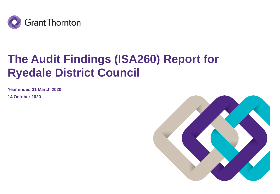

# **The Audit Findings (ISA260) Report for Ryedale District Council**

**Year ended 31 March 2020**

**14 October 2020**

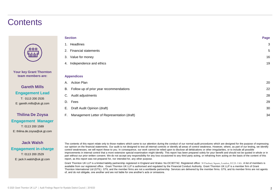### **Contents**

| 1. Headlines<br>2. Financial statements<br>Value for money<br>3.<br>Independence and ethics<br>4.<br><b>Appendices</b><br><b>Action Plan</b><br>А.<br>Follow up of prior year recommendations<br>В.<br>Audit adjustments<br>C.<br>Fees<br>D.<br>Draft Audit Opinion (draft)<br>Е.<br>F.<br>Management Letter of Representation (draft) | <b>Section</b> | Page |
|----------------------------------------------------------------------------------------------------------------------------------------------------------------------------------------------------------------------------------------------------------------------------------------------------------------------------------------|----------------|------|
|                                                                                                                                                                                                                                                                                                                                        |                | 3    |
|                                                                                                                                                                                                                                                                                                                                        |                | 5    |
|                                                                                                                                                                                                                                                                                                                                        |                | 16   |
|                                                                                                                                                                                                                                                                                                                                        |                | 19   |
|                                                                                                                                                                                                                                                                                                                                        |                |      |
|                                                                                                                                                                                                                                                                                                                                        |                |      |
|                                                                                                                                                                                                                                                                                                                                        |                | 20   |
|                                                                                                                                                                                                                                                                                                                                        |                | 22   |
|                                                                                                                                                                                                                                                                                                                                        |                | 28   |
|                                                                                                                                                                                                                                                                                                                                        |                | 29   |
|                                                                                                                                                                                                                                                                                                                                        |                | 30   |
|                                                                                                                                                                                                                                                                                                                                        |                | 34   |

**Engagement Manager** T: 0113 200 1589 E: thilina.de.zoysa@uk.gt.com

**Thilina De Zoysa**

**Your key Grant Thornton team members are:**

**Gareth Mills Engagement Lead** T: 0113 200 2535 E: gareth.mills@uk.gt.com

### **Jack Walsh Engagement in-charge** T: 0113 200 2529 E: jack.h.walsh@uk.gt.com

The contents of this report relate only to those matters which came to our attention during the conduct of our normal audit procedures which are designed for the purpose of expressing our opinion on the financial statements. Our audit is not designed to test all internal controls or identify all areas of control weakness. However, where, as part of our testing, we identify control weaknesses, we will report these to you. In consequence, our work cannot be relied upon to disclose all defalcations or other irregularities, or to include all possible improvements in internal control that a more extensive special examination might identify. This report has been prepared solely for your benefit and should not be quoted in whole or in part without our prior written consent. We do not accept any responsibility for any loss occasioned to any third party acting, or refraining from acting on the basis of the content of this report, as this report was not prepared for, nor intended for, any other purpose.

Grant Thornton UK LLP is a limited liability partnership registered in England and Wales: No.OC307742. Registered office: 30 Finsbury Square, London, EC2A 1AG. A list of members is available from our registered office. Grant Thornton UK LLP is authorised and regulated by the Financial Conduct Authority. Grant Thornton UK LLP is a member firm of Grant Thornton International Ltd (GTIL). GTIL and the member firms are not a worldwide partnership. Services are delivered by the member firms. GTIL and its member firms are not agents of, and do not obligate, one another and are not liable for one another's acts or omissions.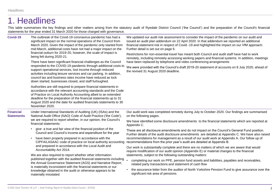### 1. Headlines

This table summarises the key findings and other matters arising from the statutory audit of Ryedale District Council ('the Council') and the preparation of the Council's financial statements for the year ended 31 March 2020 for those charged with governance.

| Covid-19                              | The outbreak of the Covid-19 coronavirus pandemic has had a<br>significant impact on the normal operations of the Council from<br>March 2020. Given the impact of the pandemic only started from<br>mid-March, additional costs have not had a major impact on the<br>financial outturn for 2019-20, however, the scale of impact is<br>being felt during 2020-21.<br>There have been significant financial challenges as the Council<br>responded to the COVID-19 pandemic through additional costs to<br>support operational services, lost income through reduced<br>activities including leisure services and car parking. In addition,<br>council tax and business rates income have reduced as lock<br>down started, businesses closed, and staff furloughed. | We updated our audit risk assessment to consider the impact of the pandemic on our audit and<br>issued an audit plan addendum on 22 April 2020. In that addendum we reported an additional<br>financial statement risk in respect of Covid -19 and highlighted the impact on our VfM approach.<br>Further detail is set out on page 6.<br>Restrictions for non-essential travel has meant both Council and audit staff have had to work<br>remotely, including remotely accessing working papers and financial systems. In addition, meetings<br>have been replaced by telephone and video conferencing arrangements<br>We were provided with the Council's draft 2019-20 statement of accounts on 8 July 2020, ahead of<br>the revised 31 August 2020 deadline.                                                                                                                                                                           |
|---------------------------------------|---------------------------------------------------------------------------------------------------------------------------------------------------------------------------------------------------------------------------------------------------------------------------------------------------------------------------------------------------------------------------------------------------------------------------------------------------------------------------------------------------------------------------------------------------------------------------------------------------------------------------------------------------------------------------------------------------------------------------------------------------------------------|--------------------------------------------------------------------------------------------------------------------------------------------------------------------------------------------------------------------------------------------------------------------------------------------------------------------------------------------------------------------------------------------------------------------------------------------------------------------------------------------------------------------------------------------------------------------------------------------------------------------------------------------------------------------------------------------------------------------------------------------------------------------------------------------------------------------------------------------------------------------------------------------------------------------------------------------|
|                                       | Authorities are still required to prepare financial statements in<br>accordance with the relevant accounting standards and the Code<br>of Practice on Local Authority Accounting albeit to an extended<br>deadline for the preparation of the financial statements up to 31<br>August 2020 and the date for audited financials statements to 30<br>November 2020.                                                                                                                                                                                                                                                                                                                                                                                                   |                                                                                                                                                                                                                                                                                                                                                                                                                                                                                                                                                                                                                                                                                                                                                                                                                                                                                                                                            |
| <b>Financial</b><br><b>Statements</b> | Under International Standards of Auditing (UK) (ISAs) and the<br>National Audit Office (NAO) Code of Audit Practice ('the Code'),<br>we are required to report whether, in our opinion, the Council's<br>financial statements:                                                                                                                                                                                                                                                                                                                                                                                                                                                                                                                                      | Our audit work was completed remotely during July to October 2020. Our findings are summarised<br>on the following pages.<br>We have identified some disclosure amendments to the financial statements which are reported at<br>Appendix C.                                                                                                                                                                                                                                                                                                                                                                                                                                                                                                                                                                                                                                                                                                |
|                                       | give a true and fair view of the financial position of the<br>Council and Council's income and expenditure for the year<br>have been properly prepared in accordance with the<br>CIPFA/LASAAC code of practice on local authority accounting<br>and prepared in accordance with the Local Audit and<br>Accountability Act 2014.<br>We are also required to report whether other information<br>published together with the audited financial statements including<br>the Annual Governance Statement (AGS) and Narrative Report,<br>is materially inconsistent with the financial statements or our<br>knowledge obtained in the audit or otherwise appears to be<br>materially misstated.                                                                          | These are all disclosure amendments and do not impact on the Council's General Fund position.<br>Further details of the audit disclosure amendments are detailed at Appendix C. We have also raised<br>recommendations for management as a result of our audit work at Appendix A. Our follow up of<br>recommendations from the prior year's audit are detailed at Appendix B.<br>Our work is substantially complete and there are no matters of which we are aware that would<br>require modification of our audit opinion (Appendix E) or material changes to the financial<br>statements, subject to the following outstanding matters:<br>completing our work on PPE, pension fund assets and liabilities, payables and receivables,<br>related party transactions and statement of cash flow<br>the assurance letter from the auditor of North Yorkshire Pension Fund to give assurance over the<br>significant risk area of pensions |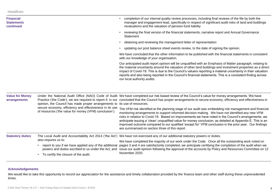| <b>Financial</b><br><b>Statements</b><br>continued |                                                                                                                   | completion of our internal quality review processes, including final reviews of the file by both the<br>manager and engagement lead, specifically in respect of significant audit risks of land and buildings<br>revaluations and the valuation of pension fund liability                                                                                                                                                                                                                                                                                                                    |  |  |
|----------------------------------------------------|-------------------------------------------------------------------------------------------------------------------|----------------------------------------------------------------------------------------------------------------------------------------------------------------------------------------------------------------------------------------------------------------------------------------------------------------------------------------------------------------------------------------------------------------------------------------------------------------------------------------------------------------------------------------------------------------------------------------------|--|--|
|                                                    |                                                                                                                   | reviewing the final version of the financial statements, narrative report and Annual Governance<br>Statement                                                                                                                                                                                                                                                                                                                                                                                                                                                                                 |  |  |
|                                                    |                                                                                                                   | obtaining and reviewing the management letter of representation                                                                                                                                                                                                                                                                                                                                                                                                                                                                                                                              |  |  |
|                                                    |                                                                                                                   | updating our post balance sheet events review, to the date of signing the opinion.                                                                                                                                                                                                                                                                                                                                                                                                                                                                                                           |  |  |
|                                                    |                                                                                                                   | We have concluded that the other information to be published with the financial statements is consistent<br>with our knowledge of your organisation.                                                                                                                                                                                                                                                                                                                                                                                                                                         |  |  |
|                                                    |                                                                                                                   | Our anticipated audit report opinion will be unqualified with an Emphasis of Matter paragraph, relating to<br>the material uncertainty around the valuation of other land buildings and investment properties as a direct<br>impact of Covid-19. This is due to the Council's valuers reporting a material uncertainty in their valuation<br>reports and also being reported in the Council's financial statements. This is a consistent finding across<br>our local authority audits.                                                                                                       |  |  |
| <b>Value for Money</b><br>arrangements             | opinion, the Council has made proper arrangements to its use of resources.                                        | Under the National Audit Office (NAO) Code of Audit We have completed our risk based review of the Council's value for money arrangements. We have<br>Practice ('the Code'), we are required to report if, in our concluded that the Council has proper arrangements to secure economy, efficiency and effectiveness in                                                                                                                                                                                                                                                                      |  |  |
|                                                    | secure economy, efficiency and effectiveness in its use<br>of resources ('the value for money (VFM) conclusion'). | The VFM risk identified at the planning stage of our audit was embedding risk management and financial<br>monitoring arrangements to support informed decision making. We have not identified any new VFM<br>risks in relation to Covid-19. Based on improvements we have noted in the Council's arrangements, we<br>anticipate issuing a 'clean' unqualified value for money conclusion, as detailed at Appendix E. This is an<br>improved outcome compared to our qualified 'except for' VFM conclusion in the prior year. Our findings<br>are summarised on section three of this report. |  |  |
| <b>Statutory duties</b>                            |                                                                                                                   | The Local Audit and Accountability Act 2014 ('the Act') We have not exercised any of our additional statutory powers or duties.                                                                                                                                                                                                                                                                                                                                                                                                                                                              |  |  |
|                                                    | also requires us to:                                                                                              | We have completed the majority of our work under the Code. Once all the outstanding work noted on                                                                                                                                                                                                                                                                                                                                                                                                                                                                                            |  |  |
|                                                    |                                                                                                                   | report to you if we have applied any of the additional pages 3 and 4 are satisfactorily completed, we anticipate certifying the completion of the audit when we<br>powers and duties ascribed to us under the Act; and issue our audit opinion following the approval of the accounts by Policy and Resources Committee on 12                                                                                                                                                                                                                                                                |  |  |
|                                                    | To certify the closure of the audit.<br>$\bullet$                                                                 | November 2020.                                                                                                                                                                                                                                                                                                                                                                                                                                                                                                                                                                               |  |  |

### **Acknowledgements**

We would like to take this opportunity to record our appreciation for the assistance and timely collaboration provided by the finance team and other staff during these unprecedented times.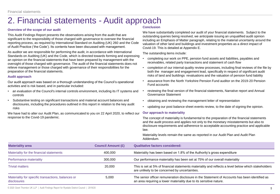### 2. Financial statements - Audit approach

### **Overview of the scope of our audit**

This Audit Findings Report presents the observations arising from the audit that are significant to the responsibility of those charged with governance to oversee the financial reporting process, as required by International Standard on Auditing (UK) 260 and the Code of Audit Practice ('the Code'). Its contents have been discussed with management.

As auditor we are responsible for performing the audit, in accordance with International Standards on Auditing (UK) and the Code, which is directed towards forming and expressing an opinion on the financial statements that have been prepared by management with the oversight of those charged with governance. The audit of the financial statements does not relieve management or those charged with governance of their responsibilities for the preparation of the financial statements.

### **Audit approach**

Our audit approach was based on a thorough understanding of the Council's operational activities and is risk based, and in particular included:

- an evaluation of the Council's internal controls environment, including its IT systems and controls
- Substantive testing on significant transactions and material account balances and disclosures, including the procedures outlined in this report in relation to the key audit risks

We have had to alter our Audit Plan, as communicated to you on 22 April 2020, to reflect our response to the Covid-19 pandemic.

### **Conclusion**

We have substantially completed our audit of your financial statements. Subject to the outstanding queries being resolved, we anticipate issuing an unqualified audit opinion including an Emphasis of Matter paragraph, relating to the material uncertainty around the valuation of other land and buildings and investment properties as a direct impact of Covid-19. This is detailed at Appendix E.

The outstanding items include:

- completing our work on PPE, pension fund assets and liabilities, payables and receivables, related party transactions and statement of cash flow
- completion of our internal quality review processes, including final reviews of the file by both the manager and engagement lead, specifically in respect of significant audit risks of land and buildings revaluations and the valuation of pension fund liability
- assurance from the North Yorkshire Pension Fund auditor on the 2019-20 Pension Fund accounts
- reviewing the final version of the financial statements, Narrative report and Annual Governance Statement
- obtaining and reviewing the management letter of representation
- updating our post balance sheet events review, to the date of signing the opinion.

#### **Our approach to materiality**

The concept of materiality is fundamental to the preparation of the financial statements and the audit process and applies not only to the monetary misstatements but also to disclosure requirements and adherence to acceptable accounting practice and applicable law.

Materiality levels remain the same as reported in our Audit Plan and Audit Plan Addendum.

| <b>Materiality area</b>                                           | <b>Council Amount (£)</b> | <b>Qualitative factors considered:</b>                                                                                                                               |
|-------------------------------------------------------------------|---------------------------|----------------------------------------------------------------------------------------------------------------------------------------------------------------------|
| Materiality for the financial statements                          | 400,000                   | Materiality has been based on 1.8% of the Authority's gross expenditure                                                                                              |
| Performance materiality                                           | 300,000                   | Our performance materiality has been set at 75% of our overall materiality                                                                                           |
| <b>Trivial matters</b>                                            | 20,000                    | This is set at 5% of financial statements materiality and reflects a level below which stakeholders<br>are unlikely to be concerned by uncertainties.                |
| Materiality for specific transactions, balances or<br>disclosures | 5,000                     | The senior officer remuneration disclosure in the Statement of Accounts has been identified as<br>an area requiring a lower materiality due to its sensitive nature. |

© 2020 Grant Thornton UK LLP | Audit Findings Report for Ryedale District Council | 2019/20 55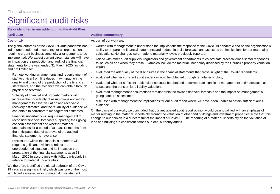**Risks identified in our addendum to the Audit Plan**

### **Covid– 19**

The global outbreak of the Covid-19 virus pandemic has led to unprecedented uncertainty for all organisations, requiring urgent business continuity arrangements to be implemented. We expect current circumstances will have an impact on the production and audit of the financial statements for the year ended 31 March 2020, including and not limited to:

- Remote working arrangements and redeployment of staff to critical front line duties may impact on the quality and timing of the production of the financial statements, and the evidence we can obtain through physical observation
- Volatility of financial and property markets will increase the uncertainty of assumptions applied by management to asset valuation and receivable recovery estimates, and the reliability of evidence we can obtain to corroborate management estimates
- Financial uncertainty will require management to reconsider financial forecasts supporting their going concern assessment and whether material uncertainties for a period of at least 12 months from the anticipated date of approval of the audited financial statements have arisen
- Disclosures within the financial statements will require significant revision to reflect the unprecedented situation and its impact on the preparation of the financial statements as at 31 March 2020 in accordance with IAS1, particularly in relation to material uncertainties.

We therefore identified the global outbreak of the Covid-19 virus as a significant risk, which was one of the most significant assessed risks of material misstatement.

#### **April 2020 Auditor commentary**

As part of our work we:

- worked with management to understand the implications the response to the Covid-19 pandemic had on the organisation's ability to prepare the financial statements and update financial forecasts and assessed the implications for our materiality calculations. No changes were made to materiality levels previously reported.
- liaised with other audit suppliers, regulators and government departments to co-ordinate practical cross-sector responses to issues as and when they arose. Examples include the material uncertainty disclosed by the Council's property valuation expert
- evaluated the adequacy of the disclosures in the financial statements that arose in light of the Covid-19 pandemic
- evaluated whether sufficient audit evidence could be obtained through remote technology
- evaluated whether sufficient audit evidence could be obtained to corroborate significant management estimates such as assets and the pension fund liability valuations
- evaluated management's assumptions that underpin the revised financial forecasts and the impact on management's going concern assessment
- discussed with management the implications for our audit report where we have been unable to obtain sufficient audit evidence.

On the basis of our work, we concluded that our anticipated audit report opinion would be unqualified with an emphasis of matter relating to the material uncertainty around the valuation of other and buildings and investment properties. Note that this change to our opinion is a direct result of the impact of Covid-19. The reporting of a material uncertainty on the valuation of land and buildings is consistent across our local authority audits.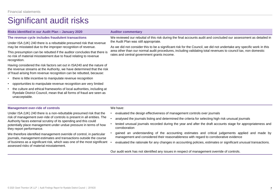#### **Risks identified in our Audit Plan – January 2020 Auditor commentary**

#### **The revenue cycle includes fraudulent transactions**

Under ISA (UK) 240 there is a rebuttable presumed risk that revenue may be misstated due to the improper recognition of revenue.

This presumption can be rebutted if the auditor concludes that there is no risk of material misstatement due to fraud relating to revenue recognition.

Having considered the risk factors set out in ISA240 and the nature of the revenue streams at the Authority, we have determined that the risk of fraud arising from revenue recognition can be rebutted, because:

- there is little incentive to manipulate revenue recognition
- opportunities to manipulate revenue recognition are very limited
- the culture and ethical frameworks of local authorities, including at Ryedale District Council, mean that all forms of fraud are seen as unacceptable.

### **Management over-ride of controls**

#### We have:

Under ISA (UK) 240 there is a non-rebuttable presumed risk that the risk of management over-ride of controls is present in all entities. The Authority faces external scrutiny of its spending and this could potentially place management under undue pressure in terms of how they report performance.

We therefore identified management override of control, in particular journals, management estimates and transactions outside the course of business as a significant risk, which was one of the most significant • assessed risks of material misstatement.

We reviewed our rebuttal of this risk during the final accounts audit and concluded our assessment as detailed in the Audit Plan was still appropriate.

As we did not consider this to be a significant risk for the Council, we did not undertake any specific work in this area other than our normal audit procedures, including validating total revenues to council tax, non domestic rates and central government grants income.

- evaluated the design effectiveness of management controls over journals
- analysed the journals listing and determined the criteria for selecting high risk unusual journals
- tested unusual journals recorded during the year and after the draft accounts stage for appropriateness and corroboration
- gained an understanding of the accounting estimates and critical judgements applied and made by management and considered their reasonableness with regard to corroborative evidence
- evaluated the rationale for any changes in accounting policies, estimates or significant unusual transactions.

Our audit work has not identified any issues in respect of management override of controls.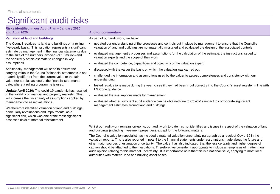**Risks identified in our Audit Plan – January 2020** 

### **and April 2020 Auditor commentary**

### **Valuation of land and buildings**

The Council revalues its land and buildings on a rolling five-yearly basis. This valuation represents a significant estimate by management in the financial statements due to the size of the numbers involved (c£15 million) and the sensitivity of this estimate to changes in key assumptions.

Additionally, management will need to ensure the carrying value in the Council's financial statements is not materially different from the current value or the fair value (for surplus assets) at the financial statements date, where a rolling programme is used.

**Update April 2020:** The covid-19 pandemic has resulted in the volatility of financial and property markets. This will increase the uncertainty of assumptions applied by management to asset valuations.

We therefore identified valuation of land and buildings, particularly revaluations and impairments, as a significant risk, which was one of the most significant assessed risks of material misstatement.

### As part of our audit work, we have:

- updated our understanding of the processes and controls put in place by management to ensure that the Council's valuation of land and buildings are not materially misstated and evaluated the design of the associated controls
- evaluated management's processes and assumptions for the calculation of the estimate, the instructions issued to valuation experts and the scope of their work
- evaluated the competence, capabilities and objectivity of the valuation expert
- discussed with the valuer the basis on which the valuation was carried out
- challenged the information and assumptions used by the valuer to assess completeness and consistency with our understanding,
- tested revaluations made during the year to see if they had been input correctly into the Council's asset register in line with LG Code guidance.
- evaluated the assumptions made by management
- evaluated whether sufficient audit evidence can be obtained due to Covid-19 impact to corroborate significant management estimates around land and buildings.

Whilst our audit work remains on-going, our audit work to date has not identified any issues in respect of the valuation of land and buildings (including investment properties), except for the following matters:

The Council's valuation specialist has included a material valuation uncertainty paragraph as a result of Covid-19 in the valuation reports. This is also reported in note 4 to the financial statements under assumptions made about the future and other major sources of estimation uncertainty. The valuer has also indicated that the less certainty and higher degree of caution should be attached to their valuations. Therefore, we consider it appropriate to include an emphasis of matter in our audit opinion relating to this material uncertainty. It is important to note that this is a national issue, applying to most local authorities with material land and building asset bases.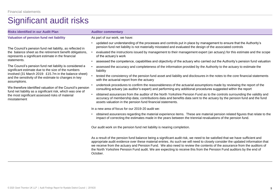| <b>Risks identified in our Audit Plan</b>                                                                                      | <b>Auditor commentary</b>                                                                                                                                                                                                                                                                                                                                                               |
|--------------------------------------------------------------------------------------------------------------------------------|-----------------------------------------------------------------------------------------------------------------------------------------------------------------------------------------------------------------------------------------------------------------------------------------------------------------------------------------------------------------------------------------|
| Valuation of pension fund net liability                                                                                        | As part of our work, we have:                                                                                                                                                                                                                                                                                                                                                           |
| The Council's pension fund net liability, as reflected in                                                                      | updated our understanding of the processes and controls put in place by management to ensure that the Authority's<br>pension fund net liability is not materially misstated and evaluated the design of the associated controls                                                                                                                                                         |
| the balance sheet as the retirement benefit obligations,<br>represents a significant estimate in the financial                 | evaluated the instructions issued by management to their management expert (an actuary) for this estimate and the scope<br>of the actuary's work                                                                                                                                                                                                                                        |
| statements.                                                                                                                    | assessed the competence, capabilities and objectivity of the actuary who carried out the Authority's pension fund valuation                                                                                                                                                                                                                                                             |
| The Council's pension fund net liability is considered a<br>significant estimate due to the size of the numbers                | assessed the accuracy and completeness of the information provided by the Authority to the actuary to estimate the<br>liability                                                                                                                                                                                                                                                         |
| involved (31 March 2019: £15.7m in the balance sheet)<br>and the sensitivity of the estimate to changes in key<br>assumptions. | tested the consistency of the pension fund asset and liability and disclosures in the notes to the core financial statements<br>with the actuarial report from the actuary                                                                                                                                                                                                              |
| We therefore identified valuation of the Council's pension<br>fund net liability as a significant risk, which was one of       | undertook procedures to confirm the reasonableness of the actuarial assumptions made by reviewing the report of the<br>consulting actuary (as auditor's expert) and performing any additional procedures suggested within the report                                                                                                                                                    |
| the most significant assessed risks of material<br>misstatement                                                                | obtained assurances from the auditor of the North Yorkshire Pension Fund as to the controls surrounding the validity and<br>accuracy of membership data; contributions data and benefits data sent to the actuary by the pension fund and the fund<br>assets valuation in the pension fund financial statements.                                                                        |
|                                                                                                                                | In a new area of focus for our 2019-20 audit we:                                                                                                                                                                                                                                                                                                                                        |
|                                                                                                                                | obtained assurances regarding the material experience items. These are material pension related figures that relate to the<br>impact of correcting the estimates made in the years between the triennial revaluations of the pension fund.                                                                                                                                              |
|                                                                                                                                | Our audit work on the pension fund net liability is nearing completion.                                                                                                                                                                                                                                                                                                                 |
|                                                                                                                                | As a result of the pension fund balance being a significant audit risk, we need to be satisfied that we have sufficient and<br>appropriate audit evidence over these material entries. As such we will need to closely consider the updated information that<br>we receive from the actuary and Pension Fund. We also need to review the contents of the assurance from the auditors of |

the North Yorkshire Pension Fund audit. We are expecting to receive this from the Pension Fund auditors by the end of

October.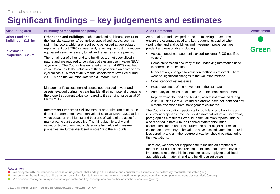### **Significant findings – key judgements and estimates**

| <b>Accounting area</b>                                                                        | <b>Summary of management's policy</b>                                                                                                                                                                                                                                                                                                                                                                                                                                                                                                                                                                                                                                                                                                                                     | <b>Audit Comments</b>                                                                                                                                                                                                                                                                                                                                                                                                                                                                                                                                           | <b>Assessment</b> |
|-----------------------------------------------------------------------------------------------|---------------------------------------------------------------------------------------------------------------------------------------------------------------------------------------------------------------------------------------------------------------------------------------------------------------------------------------------------------------------------------------------------------------------------------------------------------------------------------------------------------------------------------------------------------------------------------------------------------------------------------------------------------------------------------------------------------------------------------------------------------------------------|-----------------------------------------------------------------------------------------------------------------------------------------------------------------------------------------------------------------------------------------------------------------------------------------------------------------------------------------------------------------------------------------------------------------------------------------------------------------------------------------------------------------------------------------------------------------|-------------------|
| <b>Other Land and</b><br>Buildings - £15.3m<br><b>Investment</b><br><b>Properties - £2.2m</b> | <b>Other Land and Buildings: Other land and buildings (note 14 to</b><br>the financial statements) comprises specialised assets, such as<br>swimming pools, which are required to be valued at depreciated<br>replacement cost (DRC) at year end, reflecting the cost of a modern<br>equivalent asset necessary to deliver the same service provision.<br>The remainder of other land and buildings are not specialised in<br>nature and are required to be valued at existing use in value (EUV)<br>at year end. The Council has engaged an external RICS qualified<br>valuer to complete the valuation of these properties on a five yearly<br>cyclical basis. A total of 40% of total assets were revalued during<br>2019-20 and the valuation date was 31 March 2020. | As part of our audit, we performed the following procedures to<br>ensure the estimates used and key judgements applied when<br>valuing the land and buildings and investment properties are<br>prudent and reasonable, including:<br>Assessment of management's expert (external RICS qualified<br>valuers)<br>Completeness and accuracy of the underlying information used<br>to determine the estimate<br>Impact of any changes to valuation method as relevant. There<br>were no significant changes to the valuation method<br>Consistency of estimate used | Green             |
|                                                                                               | Management's assessment of assets not revalued in year and<br>assets revalued during the year has identified no material change to<br>the properties current value compared to it's carrying value as at 31<br>March 2019.                                                                                                                                                                                                                                                                                                                                                                                                                                                                                                                                                | Reasonableness of the movement in the estimate<br>Adequacy of disclosure of estimate in the financial statements<br>Reperforming the land and building assets not revalued during<br>2019-20 using Gerald Eve indices and we have not identified any<br>material variations from management estimates.                                                                                                                                                                                                                                                          |                   |
|                                                                                               | <b>Investment Properties:</b> All investment properties (note 16 to the<br>financial statements) have been valued as at 31 March 2020 at fair<br>value based on the highest and best use of value of the asset from<br>market participant perspective. The fair value hierarchy and<br>valuation techniques used to determine fair value of investment<br>properties are further disclosed in note 16 to the accounts.                                                                                                                                                                                                                                                                                                                                                    | The Council's valuation specialists for both land and buildings and<br>investment properties have included a material valuation uncertainty<br>paragraph as a result of Covid-19 in the valuation reports. This is<br>also reported in note 4 to the financial statements under<br>assumptions made about the future and other major sources of<br>estimation uncertainty. The valuers have also indicated that there is<br>less certainty and a higher degree of caution should be attached to<br>their valuations.                                            |                   |
|                                                                                               |                                                                                                                                                                                                                                                                                                                                                                                                                                                                                                                                                                                                                                                                                                                                                                           | Therefore, we consider it appropriate to include an emphasis of<br>matter in our audit opinion relating to this material uncertainty. It is                                                                                                                                                                                                                                                                                                                                                                                                                     |                   |

important to note that this is a national issue, applying to all local

authorities with material land and building asset bases.

#### **Assessment**

- We disagree with the estimation process or judgements that underpin the estimate and consider the estimate to be potentially materially misstated (red)
- We consider the estimate is unlikely to be materially misstated however management's estimation process contains assumptions we consider optimistic (amber)
- We consider management's process is appropriate and key assumptions are neither optimistic or cautious (green)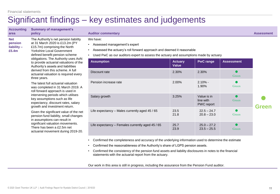### Significant findings – key estimates and judgements

| <b>Accounting</b><br>area                       | <b>Summary of management's</b><br>policy                                                                                                                                                                                                                                                                                                                                                           | <b>Auditor commentary</b>                                                                                                                                                                                    |                                |                                        |                   | <b>Assessment</b> |
|-------------------------------------------------|----------------------------------------------------------------------------------------------------------------------------------------------------------------------------------------------------------------------------------------------------------------------------------------------------------------------------------------------------------------------------------------------------|--------------------------------------------------------------------------------------------------------------------------------------------------------------------------------------------------------------|--------------------------------|----------------------------------------|-------------------|-------------------|
| <b>Net</b><br>pension<br>$liability -$<br>£5.4m | The Authority's net pension liability<br>at 31 March 2020 is £13.2m (PY<br>£15.7m) comprising the North<br><b>Yorkshire Local Government</b><br>defined benefit pension scheme<br>obligations. The Authority uses AoN<br>to provide actuarial valuations of the<br>Authority's assets and liabilities<br>derived from this scheme. A full<br>actuarial valuation is required every<br>three years. | We have:<br>• Assessed management's expert<br>Assessed the actuary's roll forward approach and deemed it reasonable<br>Used PwC as our auditors expert to assess the actuary and assumptions made by actuary |                                |                                        |                   |                   |
|                                                 |                                                                                                                                                                                                                                                                                                                                                                                                    | <b>Assumption</b>                                                                                                                                                                                            | <b>Actuary</b><br><b>Value</b> | <b>PwC range</b>                       | <b>Assessment</b> |                   |
|                                                 |                                                                                                                                                                                                                                                                                                                                                                                                    | Discount rate                                                                                                                                                                                                | 2.30%                          | 2.30%                                  | Green             |                   |
|                                                 | The latest full actuarial valuation<br>was completed in 31 March 2019. A<br>roll forward approach is used in<br>intervening periods which utilises<br>key assumptions such as life<br>expectancy, discount rates, salary<br>growth and investment return.                                                                                                                                          | Pension increase rate                                                                                                                                                                                        | 2.00%                          | $2.10% -$<br>1.90%                     | Green             |                   |
|                                                 |                                                                                                                                                                                                                                                                                                                                                                                                    | Salary growth                                                                                                                                                                                                | 3.25%                          | Value is in<br>line with<br>PWC report | Green             | <b>Green</b>      |
|                                                 | Given the significant value of the net<br>pension fund liability, small changes<br>in assumptions can result in<br>significant valuation movements.<br>There has been a £2.5m net<br>actuarial movement during 2019-20.                                                                                                                                                                            | Life expectancy - Males currently aged 45 / 65                                                                                                                                                               | 23.5<br>21.8                   | $22.5 - 24.7$<br>$20.8 - 23.0$         | Green             |                   |
|                                                 |                                                                                                                                                                                                                                                                                                                                                                                                    | Life expectancy - Females currently aged 45 / 65                                                                                                                                                             | 25.7<br>23.9                   | $25.0 - 27.2$<br>$23.5 - 25.5$         | Green             |                   |
|                                                 |                                                                                                                                                                                                                                                                                                                                                                                                    |                                                                                                                                                                                                              |                                |                                        |                   |                   |

• Confirmed the completeness and accuracy of the underlying information used to determine the estimate

- Confirmed the reasonableness of the Authority's share of LGPS pension assets.
- Confirmed the consistency of the pension fund assets and liability disclosures in notes to the financial statements with the actuarial report from the actuary.

Our work in this area is still in progress, including the assurance from the Pension Fund auditor.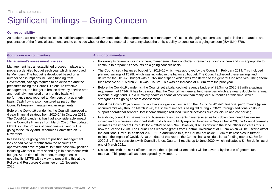## Significant findings – Going Concern

### **Our responsibility**

As auditors, we are required to "obtain sufficient appropriate audit evidence about the appropriateness of management's use of the going concern assumption in the preparation and presentation of the financial statements and to conclude whether there is a material uncertainty about the entity's ability to continue as a going concern (ISA (UK) 570).

#### **Going concern commentary Auditor commentary**

### **Management's assessment process**

Management has an established process in place and prepare a detailed budget each year which is approved by Members. The budget is developed based on a number of assumptions including funding from Government, savings required to be delivered and the pressures facing the Council. To ensure effective management, the budget is broken down by service area and routinely monitored on a monthly basis with performance now reported to Members on a quarterly basis. Cash flow is also monitored as part of the Council's treasury management arrangements.

Before the Covid-19 pandemic, the Council approved a 4 year financial strategy from 2020-24 in October 2019. The Covid-19 pandemic has had a considerable impact on the Council's finances from March 2020. The updated MTFS is in the process of being finalised and will be going to the Policy and Resources Committee on 12 November.

In assessing its going concern position, management look ahead twelve months from the accounts are approved and have regard to its future cash flow position including whether current spending is in accordance with budget. At the time of this report, management is updating its' MTFS with a view to presenting this at the Policy and Resources Committee on 12 November 2020.

- Following its review of going concern, management has concluded it remains a going concern and it is appropriate to continue to prepare its accounts on a going concern basis
- The Council set a balanced budget for 2019-20 which was approved by the Council in February 2019. This included planned savings of £528k which was included in the balanced budget. The Council achieved these savings and delivered the 2019-20 budget with a £32k underspend which was transferred to the general fund reserves. The general fund reserve at 31 March 2020 was £15.8m. This was an increase of £0.8m from the prior year.
- Before the Covid-19 pandemic, the Council set a balanced net revenue budget of £8.3m for 2020-21 with a savings requirement of £434k. It has to be noted that the Council has general fund reserves which are nearly double its annual revenue budget and is in a relatively healthier financial position than many local authorities at this time, which strengthens the going concern assessment.
- Whilst the Covid-19 pandemic did not have a significant impact on the Council's 2019-20 financial performance (given it occurred mid way through March 2020, the scale of impact is being felt during 2020-21 through additional costs to support operational services, lost income through reduced Council activities such as leisure and car parking.
- In addition, council tax payments and business rates payments have reduced as lock down continued, businesses closed and businesses furloughed staff. In it's latest publicly reported forecast in September 2020, the Council currently estimates the impact of Covid-19 for 2020-21 to be 2.9m. However, discussions with the s151 officer indicates this is now reduced to £2.7m. The Council has received grants from Central Government of £0.7m which will be used to offset the additional Covid-19 costs for 2020-21. In addition to this, the Council set aside £0.3m of its reserves to further mitigate the impact of Covid. As at the date of this report, the Council has a residual latest funding gap of £1.7m for 2020-21. This is consistent with Council's latest Quarter 1 results up to June 2020, which indicated a £1.8m deficit as at end of March 2021.
- Discussions with the s151 officer note that the projected £1.8m deficit will be covered by the use of general fund reserves. This proposal has been agreed by Members.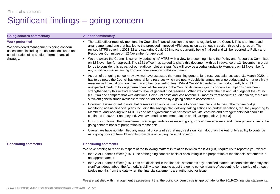### Significant findings – going concern

| <b>Going concern commentary</b>                                                                                                                                  | <b>Auditor commentary</b>                                                                                                                                                                                                                                                                                                                                                                                                                                                                                                                                                                                                                                                                                                                                                                                                                                                 |
|------------------------------------------------------------------------------------------------------------------------------------------------------------------|---------------------------------------------------------------------------------------------------------------------------------------------------------------------------------------------------------------------------------------------------------------------------------------------------------------------------------------------------------------------------------------------------------------------------------------------------------------------------------------------------------------------------------------------------------------------------------------------------------------------------------------------------------------------------------------------------------------------------------------------------------------------------------------------------------------------------------------------------------------------------|
| <b>Work performed</b><br>We considered management's going concern<br>assessment including the assumptions used and<br>consideration of its Medium Term Financial | • The s151 officer routinely monitors the Council's financial position and reports regularly to the Council. This is an improved<br>arrangement and one that has led to the proposed improved VFM conclusion as set out in section three of this report. The<br>revised MTFS covering 2021-22 and capturing Covid-19 impact is currently being finalised and will be reported to Policy and<br>Resources Committee on 12 November for approval.                                                                                                                                                                                                                                                                                                                                                                                                                           |
| Strategy.                                                                                                                                                        | We are aware the Council is currently updating its' MTFS with a view to presenting this to the Policy and Resources Committee<br>on 12 November for approval. The s151 officer has agreed to share this document with us in advance of 12 November in order<br>for us to consider this as part of our audit completion steps. We will provide a verbal update to Members on 12 November for<br>any significant issues arising from our consideration of this document.                                                                                                                                                                                                                                                                                                                                                                                                    |
|                                                                                                                                                                  | As part of our going concern review, we have assessed the remaining general fund reserves balances as at 31 March 2020. It<br>has to be noted the Council has general fund reserves which are nearly double its annual revenue budget and is in a relatively<br>reasonable financial position than many other local authorities. Whilst Covid-19 pandemic has undoubtedly brought in<br>unexpected medium to longer term financial challenges to the Council, its current going concern assumptions have been<br>strengthened by this relatively healthy level of general fund reserves. When we consider the net annual budget at the Council<br>(£c8.2m) and compare that with additional Covid -19 costs and loss revenue 12 months from accounts audit opinion, there are<br>sufficient general funds available for the period covered by a going concern assessment. |
|                                                                                                                                                                  | However, it is important to note that reserves can only be used once to cover financial challenges. The routine budget<br>monitoring against financial plans including the savings plan delivery, taking actions on budget variations, regularly reporting to<br>Members, and working with MHCLG and other government departments are vital controls and arrangements that should be<br>continued in 2020-21 and beyond. We have made a recommendation on this at Appendix A. [Rec 3]                                                                                                                                                                                                                                                                                                                                                                                     |
|                                                                                                                                                                  | Our work confirmed the management's arrangements for assessing going concern are adequate and management's use of the<br>$\bullet$<br>going concern basis of preparation is reasonable.                                                                                                                                                                                                                                                                                                                                                                                                                                                                                                                                                                                                                                                                                   |
|                                                                                                                                                                  | Overall, we have not identified any material uncertainties that may cast significant doubt on the Authority's ability to continue<br>as a going concern from 12 months from date of issuing the audit opinion.                                                                                                                                                                                                                                                                                                                                                                                                                                                                                                                                                                                                                                                            |
| <b>Concluding comments</b>                                                                                                                                       | <b>Concluding comments</b>                                                                                                                                                                                                                                                                                                                                                                                                                                                                                                                                                                                                                                                                                                                                                                                                                                                |
|                                                                                                                                                                  | We have nothing to report in respect of the following matters in relation to which the ISAs (UK) require us to report to you where:                                                                                                                                                                                                                                                                                                                                                                                                                                                                                                                                                                                                                                                                                                                                       |
|                                                                                                                                                                  | the Chief Finance Officer (s151) use of the going concern basis of accounting in the preparation of the financial statements is<br>$\bullet$<br>not appropriate; or                                                                                                                                                                                                                                                                                                                                                                                                                                                                                                                                                                                                                                                                                                       |
|                                                                                                                                                                  | the Chief Finance Officer (s151) has not disclosed in the financial statements any identified material uncertainties that may cast<br>significant doubt about the Authority's ability to continue to adopt the going concern basis of accounting for a period of at least<br>twelve months from the date when the financial statements are authorised for issue.                                                                                                                                                                                                                                                                                                                                                                                                                                                                                                          |
|                                                                                                                                                                  | We are satisfied with management's assessment that the going concern basis is appropriate for the 2019-20 financial statements.                                                                                                                                                                                                                                                                                                                                                                                                                                                                                                                                                                                                                                                                                                                                           |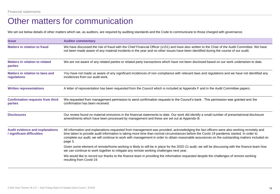### Other matters for communication

We set out below details of other matters which we, as auditors, are required by auditing standards and the Code to communicate to those charged with governance.

| <b>Issue</b>                                                         | <b>Auditor commentary</b>                                                                                                                                                                                                                                                                                                                                                                                                                     |
|----------------------------------------------------------------------|-----------------------------------------------------------------------------------------------------------------------------------------------------------------------------------------------------------------------------------------------------------------------------------------------------------------------------------------------------------------------------------------------------------------------------------------------|
| <b>Matters in relation to fraud</b>                                  | We have discussed the risk of fraud with the Chief Financial Officer (s151) and have also written to the Chair of the Audit Committee. We have<br>not been made aware of any material incidents in the year and no other issues have been identified during the course of our audit.                                                                                                                                                          |
| <b>Matters in relation to related</b><br>parties                     | We are not aware of any related parties or related party transactions which have not been disclosed based on our work undertaken to date.                                                                                                                                                                                                                                                                                                     |
| Matters in relation to laws and<br>regulations                       | You have not made us aware of any significant incidences of non-compliance with relevant laws and regulations and we have not identified any<br>incidences from our audit work.                                                                                                                                                                                                                                                               |
| <b>Written representations</b>                                       | A letter of representation has been requested from the Council which is included at Appendix F and in the Audit Committee papers.                                                                                                                                                                                                                                                                                                             |
| <b>Confirmation requests from third</b><br>parties                   | We requested from management permission to send confirmation requests to the Council's bank. This permission was granted and the<br>confirmation has been received.                                                                                                                                                                                                                                                                           |
| <b>Disclosures</b>                                                   | Our review found no material omissions in the financial statements to date. Our work did identify a small number of presentational disclosure<br>amendments which have been processed by management and these are set out at Appendix B.                                                                                                                                                                                                      |
| <b>Audit evidence and explanations</b><br>/ significant difficulties | All information and explanations requested from management was provided, acknowledging the fact officers were also working remotely and<br>time taken to provide audit information is taking more time than normal circumstances before the Covid-19 pandemic started. In order to<br>complete our audit, we will continue to work with management in order to obtain reasonable assurances on the outstanding matters included on<br>page 3. |
|                                                                      | Given some element of remote/home working is likely to still be in place for the 2020-21 audit, we will be discussing with the finance team how<br>we can continue to work together to mitigate any remote working challenges next year.                                                                                                                                                                                                      |
|                                                                      | We would like to record our thanks to the finance team in providing the information requested despite the challenges of remote working<br>resulting from Covid-19.                                                                                                                                                                                                                                                                            |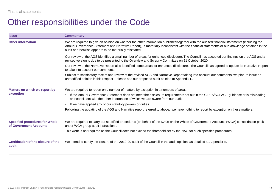### Other responsibilities under the Code

| <b>Issue</b>                                                    | <b>Commentary</b>                                                                                                                                                                                                                                                                                                                                     |
|-----------------------------------------------------------------|-------------------------------------------------------------------------------------------------------------------------------------------------------------------------------------------------------------------------------------------------------------------------------------------------------------------------------------------------------|
| <b>Other information</b>                                        | We are required to give an opinion on whether the other information published together with the audited financial statements (including the<br>Annual Governance Statement and Narrative Report), is materially inconsistent with the financial statements or our knowledge obtained in the<br>audit or otherwise appears to be materially misstated. |
|                                                                 | Our review of the AGS identified a small number of areas for enhanced disclosure. The Council has accepted our findings on the AGS and a<br>revised version is due to be presented to the Overview and Scrutiny Committee on 21 October 2020.                                                                                                         |
|                                                                 | Our review of the Narrative Report also identified some areas for enhanced disclosure. The Council has agreed to update its Narrative Report<br>to take into account our comments.                                                                                                                                                                    |
|                                                                 | Subject to satisfactory receipt and review of the revised AGS and Narrative Report taking into account our comments, we plan to issue an<br>unmodified opinion in this respect – please see our proposed audit opinion at Appendix E.                                                                                                                 |
| Matters on which we report by                                   | We are required to report on a number of matters by exception in a numbers of areas:                                                                                                                                                                                                                                                                  |
| exception                                                       | If the Annual Governance Statement does not meet the disclosure requirements set out in the CIPFA/SOLACE guidance or is misleading<br>or inconsistent with the other information of which we are aware from our audit                                                                                                                                 |
|                                                                 | If we have applied any of our statutory powers or duties                                                                                                                                                                                                                                                                                              |
|                                                                 | Following the updating of the AGS and Narrative report referred to above, we have nothing to report by exception on these matters.                                                                                                                                                                                                                    |
| <b>Specified procedures for Whole</b><br>of Government Accounts | We are required to carry out specified procedures (on behalf of the NAO) on the Whole of Government Accounts (WGA) consolidation pack<br>under WGA group audit instructions.                                                                                                                                                                          |
|                                                                 | This work is not required as the Council does not exceed the threshold set by the NAO for such specified procedures.                                                                                                                                                                                                                                  |
| Certification of the closure of the<br>audit                    | We intend to certify the closure of the 2019-20 audit of the Council in the audit opinion, as detailed at Appendix E.                                                                                                                                                                                                                                 |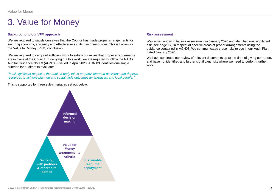### 3. Value for Money

### **Background to our VFM approach**

We are required to satisfy ourselves that the Council has made proper arrangements for securing economy, efficiency and effectiveness in its use of resources. This is known as the Value for Money (VFM) conclusion.

We are required to carry out sufficient work to satisfy ourselves that proper arrangements are in place at the Council. In carrying out this work, we are required to follow the NAO's Auditor Guidance Note 3 (AGN 03) issued in April 2020. AGN 03 identifies one single criterion for auditors to evaluate:

*"In all significant respects, the audited body takes properly informed decisions and deploys resources to achieve planned and sustainable outcomes for taxpayers and local people."*

This is supported by three sub-criteria, as set out below:



### **Risk assessment**

We carried out an initial risk assessment in January 2020 and identified one significant risk (see page 17) in respect of specific areas of proper arrangements using the guidance contained in AGN03. We communicated these risks to you in our Audit Plan dated January 2020.

We have continued our review of relevant documents up to the date of giving our report, and have not identified any further significant risks where we need to perform further work.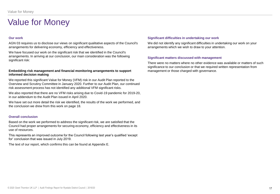### Value for Money

#### **Our work**

AGN 03 requires us to disclose our views on significant qualitative aspects of the Council's arrangements for delivering economy, efficiency and effectiveness.

We have focused our work on the significant risk that we identified in the Council's arrangements. In arriving at our conclusion, our main consideration was the following significant risk:

#### **Embedding risk management and financial monitoring arrangements to support informed decision making**

We reported this significant Value for Money (VFM) risk in our Audit Plan reported to the Overview and Scrutiny Committee in January 2020. Further to our Audit Plan, our continued risk assessment process has not identified any additional VFM significant risks.

We also reported that there are no VFM risks arising due to Covid-19 pandemic for 2019-20, in our addendum to the Audit Plan issued in April 2020.

We have set out more detail the risk we identified, the results of the work we performed, and the conclusion we drew from this work on page 18.

#### **Overall conclusion**

Based on the work we performed to address the significant risk, we are satisfied that the Council had proper arrangements for securing economy, efficiency and effectiveness in its use of resources.

This represents an improved outcome for the Council following last year's qualified 'except for' conclusion that was issued in July 2019.

The text of our report, which confirms this can be found at Appendix E.

#### **Significant difficulties in undertaking our work**

We did not identify any significant difficulties in undertaking our work on your arrangements which we wish to draw to your attention.

#### **Significant matters discussed with management**

There were no matters where no other evidence was available or matters of such significance to our conclusion or that we required written representation from management or those charged with governance.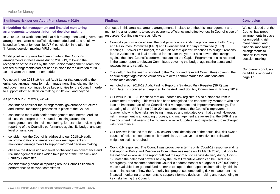|  |  | Value for Money |
|--|--|-----------------|
|--|--|-----------------|

| Significant risk per our Audit Plan (January 2020)                                                                                                                                                                                                                           | <b>Findings</b>                                                                                                                                                                                                                                                                                                                                                                                    | <b>Conclusion</b>                                                                                        |
|------------------------------------------------------------------------------------------------------------------------------------------------------------------------------------------------------------------------------------------------------------------------------|----------------------------------------------------------------------------------------------------------------------------------------------------------------------------------------------------------------------------------------------------------------------------------------------------------------------------------------------------------------------------------------------------|----------------------------------------------------------------------------------------------------------|
| <b>Embedding risk management and financial monitoring</b><br>arrangements to support informed decision making                                                                                                                                                                | Our focus in this area was around arrangements in place to embed risk management and<br>monitoring arrangements to secure economy, efficiency and effectiveness in Council's use of                                                                                                                                                                                                                | We concluded that the<br>Council has proper                                                              |
| In 2018-19, our work identified that risk management and governance<br>arrangements were not sufficiently embedded and as a result, we<br>issued an 'except for' qualified VFM conclusion in relation to<br>'informed decision making' VFM criteria.                         | resources. Our findings were as follows:<br>Council's performance against the budget is now a standing agenda item at both Policy<br>and Resources Committee (PRC) and Overview and Scrutiny Committee (OSC)<br>meetings . It covers the budget, the actuals to that quarter, variations to budget, reasons                                                                                        | arrangements in place<br>for embedding risk<br>management and<br>financial monitoring<br>arrangements to |
| Whilst positive progress had been made to the Council's<br>arrangements in these areas during 2018-19, following the<br>recognition of the issues by the new Senior Management Team, the<br>revised arrangements had not been in place for the duration of 2018-             | for the variations and final predicted forecast for the year. It also covers the savings<br>against the plan. Council's performance against the Capital Programme is also reported<br>in the same report to relevant Committees covering the budget against the actual and<br>reasons for any variations.                                                                                          | support informed<br>decision making.                                                                     |
| 19 and were therefore not embedded.<br>We noted in our 2018-19 Annual Audit Letter that embedding the                                                                                                                                                                        | The outturn for the year is reported to the Council and relevant Committees covering the<br>annual budget against the variations with detail commentaries for variations and<br>associated actions.                                                                                                                                                                                                | Our overall conclusion<br>on VFM is reported at<br>page 17.                                              |
| enhanced arrangements for risk management, financial monitoring<br>and governance continued to be key priorities for the Council in order<br>to support informed decision making in 2019-20 and beyond.                                                                      | As noted in our 2018-19 Audit Finding Report, a Strategic Risk Register (SRR) was<br>formulated, introduced and reported to the Audit and Scrutiny Committee in January 2019.                                                                                                                                                                                                                      |                                                                                                          |
| As part of our VFM work, we will:                                                                                                                                                                                                                                            | Our work in 2019-20 identified that an updated risk register is also a standard item in<br>Committee Reporting. This work has been recognised and endorsed by Members who see                                                                                                                                                                                                                      |                                                                                                          |
| continue to consider the arrangements, governance structures<br>and internal monitoring processes in place at the Council                                                                                                                                                    | it as an important part of the Council's risk management and improvement strategy. The<br>updating of the SRR during 2019-20 has demonstrated the Council's improvement                                                                                                                                                                                                                            |                                                                                                          |
| continue to meet with senior management and Internal Audit to<br>$\bullet$<br>discuss the progress the Council is making around risk<br>management and financial monitoring, for example, reviewing the<br>reporting of the Council's performance against its budget and any | journey, showing how risks are being managed and mitigated over that period. However,<br>risk management is an ongoing process, and management are aware that the SRR it is a<br>live document that needs to be routinely reviewed, updated and reported to those charged<br>with governance.                                                                                                      |                                                                                                          |
| level of variances<br>consider how the Council is addressing our 2018-19 audit<br>recommendations on embedding risk management and<br>monitoring arrangements to support informed decision making                                                                            | Our reviews indicated that the SRR covers detail description of the actual risk, risk owner,<br>causes of risks, consequences if it materialises, proactive and reactive controls and<br>mitigation actions required.                                                                                                                                                                              |                                                                                                          |
| observe the discussion and level of challenge on governance and<br>risk management issues which take place at the Overview and<br><b>Scrutiny Committee</b>                                                                                                                  | Covid-19 response: The Council was pro-active in terms of its Covid-19 response and its<br>first report to Policy and Resources Committee was made on 19 March 2020, just prior to<br>the national lockdown. The report outlined the approach to service delivery during Covid-<br>19, noted the delegated powers held by the Chief Executive which can be used in an                              |                                                                                                          |
| consider timely financial reporting around Council's financial<br>performance to relevant committees.                                                                                                                                                                        | emergency, and recommended that Council's endorsement of a budget of £250,000 being<br>made available from general fund reserves to support the responses immediately. This is<br>also an indication of how the Authority has progressed embedding risk management and<br>financial monitoring arrangements to support informed decision making and responding to<br>key risks facing the Council. |                                                                                                          |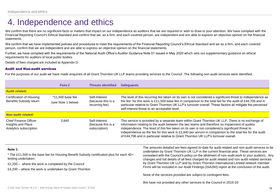### 4. Independence and ethics

We confirm that there are no significant facts or matters that impact on our independence as auditors that we are required or wish to draw to your attention. We have complied with the Financial Reporting Council's Ethical Standard and confirm that we, as a firm, and each covered person, are independent and are able to express an objective opinion on the financial statements.

We confirm that we have implemented policies and procedures to meet the requirements of the Financial Reporting Council's Ethical Standard and we as a firm, and each covered person, confirm that we are independent and are able to express an objective opinion on the financial statements.

Further, we have complied with the requirements of the National Audit Office's Auditor Guidance Note 01 issued in May 2020 which sets out supplementary guidance on ethical requirements for auditors of local public bodies.

Details of fees charged are included at Appendix D

### Audit and Non-audit services

For the purposes of our audit we have made enquiries of all Grant Thornton UK LLP teams providing services to the Council. The following non-audit services were identified.

|                                                                              | <b>Fees £</b>                                                                                                                                                                                               | <b>Threats identified</b>                             | <b>Safeguards</b> |                                                                                                                                                                                                                                                                                                                                                                                                                                                                                                                                                                                                                                                |  |
|------------------------------------------------------------------------------|-------------------------------------------------------------------------------------------------------------------------------------------------------------------------------------------------------------|-------------------------------------------------------|-------------------|------------------------------------------------------------------------------------------------------------------------------------------------------------------------------------------------------------------------------------------------------------------------------------------------------------------------------------------------------------------------------------------------------------------------------------------------------------------------------------------------------------------------------------------------------------------------------------------------------------------------------------------------|--|
| <b>Audit related:</b>                                                        |                                                                                                                                                                                                             |                                                       |                   |                                                                                                                                                                                                                                                                                                                                                                                                                                                                                                                                                                                                                                                |  |
| Certification of Housing<br>Benefits Subsidy return                          | *11,500 base fee<br>(see Note 1 below)                                                                                                                                                                      | Self-Interest<br>(because this is a<br>recurring fee) |                   | The level of this recurring fee taken on its own is not considered a significant threat to independence as<br>the fee for this work is £11,500 base fee in comparison to the total fee for the audit of £44,706 and in<br>particular relative to Grant Thornton UK LLP's turnover overall. These factors all mitigate the perceived<br>self-interest threat to an acceptable level.                                                                                                                                                                                                                                                            |  |
| <b>Non-audit related:</b>                                                    |                                                                                                                                                                                                             |                                                       |                   |                                                                                                                                                                                                                                                                                                                                                                                                                                                                                                                                                                                                                                                |  |
| <b>Chief Finance Officer</b><br>Insights and Place<br>Analytics subscription | 3,840                                                                                                                                                                                                       | Self-Interest<br>(because this is a<br>subscription)  |                   | This service is provided by a separate team within Grant Thornton UK LLP. There is no exchange of<br>information relating to the audit between the two teams and therefore no impairment of auditor<br>independence. The level of this fee taken on its own is not considered a significant threat to<br>independence as the fee for this work is £3,840 per annum in comparison to the total fee for the audit<br>of £44,706 and in particular relative to Grant Thornton UK LLP's turnover overall.                                                                                                                                          |  |
| Note 1:<br>testing undertaken:                                               | * The £11,500 is the base fee for Housing Benefit Subsidy certification plus for each 40+<br>£2,200 – where the work is completed by the Council<br>£4,200 - where the work is undertaken by Grant Thornton |                                                       |                   | The amounts detailed are fees agreed to-date for audit related and non-audit services to be<br>undertaken by Grant Thornton UK LLP in the current financial year. These services are<br>consistent with the Council's policy on the allotment of non-audit work to your auditors. Any<br>changes and full details of all fees charged for audit related and non-audit related services<br>by Grant Thornton UK LLP and by Grant Thornton International Limited network member<br>Firms will be included in our Audit Findings (ISA260) report at the conclusion of the audit.<br>None of the services provided are subject to contingent fees. |  |
|                                                                              |                                                                                                                                                                                                             |                                                       |                   | We have not provided any other services to the Council in 2019-20                                                                                                                                                                                                                                                                                                                                                                                                                                                                                                                                                                              |  |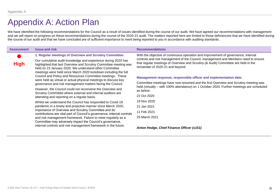### Appendix A: Action Plan

We have identified the following recommendations for the Council as a result of issues identified during the course of our audit. We have agreed our recommendations with management and we will report on progress on these recommendations during the course of the 2020-21 audit. The matters reported here are limited to those deficiencies that we have identified during the course of our audit and that we have concluded are of sufficient importance to merit being reported to you in accordance with auditing standards.

| <b>Assessment</b>                                                                                                                                                                                                                                                                                                                                                                               | <b>Issue and risk</b>                                                                                                                                                                                                                                                                                                      | <b>Recommendations</b>                                                                                                                                                                                                                                                                             |  |
|-------------------------------------------------------------------------------------------------------------------------------------------------------------------------------------------------------------------------------------------------------------------------------------------------------------------------------------------------------------------------------------------------|----------------------------------------------------------------------------------------------------------------------------------------------------------------------------------------------------------------------------------------------------------------------------------------------------------------------------|----------------------------------------------------------------------------------------------------------------------------------------------------------------------------------------------------------------------------------------------------------------------------------------------------|--|
| <b>High</b>                                                                                                                                                                                                                                                                                                                                                                                     | 1. Regular meetings of Overview and Scrutiny Committee:<br>Our cumulative audit knowledge and experience during 2020 has<br>highlighted that last Overview and Scrutiny Committee meeting was<br>held on 23 January 2020. We understand other Committee<br>meetings were held since March 2020 lockdown including the full | With the objective of continuous operation and improvement of governance, internal<br>controls and risk management of the Council, management and Members need to ensure<br>that regular meetings of Overview and Scrutiny (& Audit) Committee are held in the<br>remainder of 2020-21 and beyond. |  |
|                                                                                                                                                                                                                                                                                                                                                                                                 | Council and Policy and Resources Committee meetings. These<br>were held as virtual or actual physical meetings to discuss key                                                                                                                                                                                              | Management response, responsible officer and implementation date:                                                                                                                                                                                                                                  |  |
| governance and risk management matters facing the Council.                                                                                                                                                                                                                                                                                                                                      |                                                                                                                                                                                                                                                                                                                            | Committee meetings have now resumed and the first Overview and Scrutiny meeting was<br>held (virtually – with 100% attendance) on 1 October 2020. Further meetings are scheduled<br>as below:                                                                                                      |  |
| However, the Council could not reconvene the Overview and<br>Scrutiny Committee where external and internal auditors are                                                                                                                                                                                                                                                                        |                                                                                                                                                                                                                                                                                                                            |                                                                                                                                                                                                                                                                                                    |  |
|                                                                                                                                                                                                                                                                                                                                                                                                 | attending and reporting on a regular basis.                                                                                                                                                                                                                                                                                | 22 Oct 2020                                                                                                                                                                                                                                                                                        |  |
|                                                                                                                                                                                                                                                                                                                                                                                                 | Whilst we understand the Council has responded to Covid-19                                                                                                                                                                                                                                                                 | 19 Nov 2020                                                                                                                                                                                                                                                                                        |  |
| pandemic in a timely and proactive manner since March 2020,<br>importance of Overview and Scrutiny Committee and its'<br>contributions are vital part of Council's governance, internal controls<br>and risk management framework. Failure to meet regularly as a<br>Committee may adversely impact the Council's governance,<br>internal controls and risk management framework in the future. | 21 Jan 2021                                                                                                                                                                                                                                                                                                                |                                                                                                                                                                                                                                                                                                    |  |
|                                                                                                                                                                                                                                                                                                                                                                                                 | 11 Feb 2021                                                                                                                                                                                                                                                                                                                |                                                                                                                                                                                                                                                                                                    |  |
|                                                                                                                                                                                                                                                                                                                                                                                                 |                                                                                                                                                                                                                                                                                                                            | 25 March 2021                                                                                                                                                                                                                                                                                      |  |
|                                                                                                                                                                                                                                                                                                                                                                                                 | Anton Hodge, Chief Finance Officer (s151)                                                                                                                                                                                                                                                                                  |                                                                                                                                                                                                                                                                                                    |  |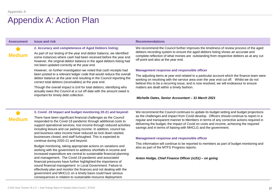### Appendix A: Action Plan

| <b>Assessment</b> | <b>Issue and risk</b>                                                                                                                                                                                                                                                                                                                                                                                                                                                                                                                                                                                                                                                                                                                                                                        | <b>Recommendations</b>                                                                                                                                                                                                                                                                                                                                                                                                                                                                                                                                                                                                                                                                                                                               |
|-------------------|----------------------------------------------------------------------------------------------------------------------------------------------------------------------------------------------------------------------------------------------------------------------------------------------------------------------------------------------------------------------------------------------------------------------------------------------------------------------------------------------------------------------------------------------------------------------------------------------------------------------------------------------------------------------------------------------------------------------------------------------------------------------------------------------|------------------------------------------------------------------------------------------------------------------------------------------------------------------------------------------------------------------------------------------------------------------------------------------------------------------------------------------------------------------------------------------------------------------------------------------------------------------------------------------------------------------------------------------------------------------------------------------------------------------------------------------------------------------------------------------------------------------------------------------------------|
| <b>Medium</b>     | 2. Accuracy and completeness of Aged Debtors listing:<br>As part of our testing of the year end debtor balance, we identified<br>some instances where cash had been received before the year end<br>however, the original debtor balance in the aged debtors listing had<br>not been updated correctly at the year end.<br>However, on further investigation we noted that cash receipts had<br>been posted to a relevant ledger code that would reduce the overall<br>debtor balance at the year end resulting in the Council reporting the<br>correct total debtors (receivables) at the year end.<br>Though the overall impact is £nil for total debtors, identifying who<br>actually owes the Council at a cut off date with the amount owed is<br>important for timely debt collection. | We recommend the Council further improves the timeliness of review process of the aged<br>debtors recording system to ensure the aged debtors listing shows an accurate and<br>complete reflection of what monies are outstanding from respective debtors as at any cut<br>off point and also at the year end.<br>Management response and responsible officer<br>The adjusting items at year end related to a particular account which the finance team were<br>working on resolving with the service area over the year end cut off.  Whilst we do not<br>believe this to be a recurring issue, and is now resolved, we will endeavour to ensure<br>matters are dealt within a timely fashion.<br>Michelle Oates, Senior Accountant - 31 March 2021 |
| <b>Medium</b>     | 3. Covid -19 Impact and budget monitoring 20-21 and beyond:<br>There have been significant financial challenges as the Council<br>responded to the Covid-19 pandemic through additional costs to<br>support operational services, lost income through reduced activities                                                                                                                                                                                                                                                                                                                                                                                                                                                                                                                     | We recommend the Council continues to update its budget setting and budget projections<br>as the challenges and impact from Covid develop. Officers should continue to report in a<br>regular and transparent manner to Members in terms of any corrective actions required in<br>delivering the budget, the impact of Covid on costs and income, achieving the required                                                                                                                                                                                                                                                                                                                                                                             |

### **Management response and responsible officer**

savings and in terms of liaising with MHCLG and the government.

This information will continue to be reported to members as part of budget monitoring and also as part of the MTFS Progress reports**.**

#### *Anton Hodge, Chief Finance Officer (s151) – on going*

working with the government to address shortfalls in income and increased expenditure are central to sustainable financial planning and management. The Covid-19 pandemic and associated financial pressures have further highlighted the importance of sound financial management in Local Government. Failure to effectively plan and monitor the finances and not dealing with the government and MHCLG on a timely basis could have serious consequences in relation to sustainable resource deployment.

including leisure and car parking income. In addition, council tax and business rates income have reduced as lock down started, businesses closed, and staff furloughed. This is expected to

Budget monitoring, taking appropriate actions on variations and

continue during 2020-21 and beyond.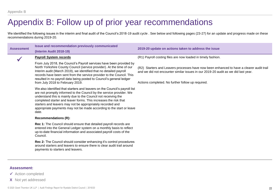### Appendix B: Follow up of prior year recommendations

We identified the following issues in the interim and final audit of the Council's 2018-19 audit cycle . See below and following pages (23-27) for an update and progress made on these recommendations during 2019-20.

| <b>Assessment</b> | Issue and recommendation previously communicated<br>(Interim Audit 2018-19)                                                                                                                                                                                                                                                                                                                                                             | 2019-20 update on actions taken to address the issue                                                                                                                                                                               |
|-------------------|-----------------------------------------------------------------------------------------------------------------------------------------------------------------------------------------------------------------------------------------------------------------------------------------------------------------------------------------------------------------------------------------------------------------------------------------|------------------------------------------------------------------------------------------------------------------------------------------------------------------------------------------------------------------------------------|
|                   | <b>Payroll System records</b>                                                                                                                                                                                                                                                                                                                                                                                                           | (R1) Payroll costing files are now loaded in timely fashion.                                                                                                                                                                       |
|                   | From July 2018, the Council's Payroll services have been provided by<br>North Yorkshire County Council (service provider). At the time of our<br>Interim audit (March 2019), we identified that no detailed payroll<br>records have been sent from the service provider to the Council. This<br>resulted in no payroll data being posted to Council's general ledger<br>from July 2018 to February 2019.                                | (R2) Starters and Leavers processes have now been enhanced to have a clearer audit trail<br>and we did not encounter similar issues in our 2019-20 audit as we did last year.<br>Actions completed. No further follow up required. |
|                   | We also identified that starters and leavers on the Council's payroll list<br>are not promptly informed to the Council by the service provider. We<br>understand this is mainly due to the Council not receiving the<br>completed starter and leaver forms. This increases the risk that<br>starters and leavers may not be appropriately recorded and<br>appropriate payments may not be made according to the start or leave<br>date. |                                                                                                                                                                                                                                    |
|                   | <b>Recommendations (R):</b>                                                                                                                                                                                                                                                                                                                                                                                                             |                                                                                                                                                                                                                                    |
|                   | Rec 1: The Council should ensure that detailed payroll records are<br>entered into the General Ledger system on a monthly basis to reflect<br>up-to-date financial information and associated payroll costs of the<br>Council.                                                                                                                                                                                                          |                                                                                                                                                                                                                                    |
|                   | Rec 2: The Council should consider enhancing it's control procedures<br>around starters and leavers to ensure there is clear audit trail around<br>payments to starters and leavers.                                                                                                                                                                                                                                                    |                                                                                                                                                                                                                                    |

### **Assessment:**

- ✓ Action completed
- **X** Not yet addressed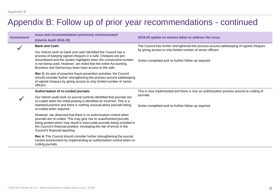### Appendix B: Follow up of prior year recommendations - continued

| <b>Assessment</b> | Issue and recommendation previously communicated<br>(Interim Audit 2018-19)                                                                                                                                                                                                                                                  | 2019-20 update on actions taken to address the issue                                                                                                 |  |
|-------------------|------------------------------------------------------------------------------------------------------------------------------------------------------------------------------------------------------------------------------------------------------------------------------------------------------------------------------|------------------------------------------------------------------------------------------------------------------------------------------------------|--|
|                   | <b>Bank and Cash:</b>                                                                                                                                                                                                                                                                                                        | The Council has further strengthened the process around safekeeping of signed cheques<br>by giving access to only limited number of senior officers. |  |
|                   | Our Interim work on bank and cash identified the Council has a                                                                                                                                                                                                                                                               |                                                                                                                                                      |  |
|                   | process of keeping signed cheques in a safe. Cheques are pre-<br>renumbered and the system highlights when the consecutive number<br>is not being used. However, we noted that the entire Accounting,<br>Business and Democracy team have access to the safe.                                                                | Action completed and no further follow up required.                                                                                                  |  |
|                   | Rec 3: As part of proactive fraud prevention activities, the Council<br>should consider further strengthening the process around safekeeping<br>of signed cheques by giving access to only limited number of senior<br>officers.                                                                                             |                                                                                                                                                      |  |
|                   | Authorisation of re-corded journals:                                                                                                                                                                                                                                                                                         | This is now implemented and there is now an authorisation process around re-coding of                                                                |  |
|                   | Our interim audit work on journal controls identified that journals are<br>re-coded when the initial posting is identified as incorrect. This is a<br>standard practice and there is nothing unusual about journals being<br>re-coded when required.                                                                         | journals.<br>Action completed and no further follow up required.                                                                                     |  |
|                   | However, we observed that there is no authorisation control when<br>journals are re-coded. This may give rise to unauthorised journals<br>being posted which may result in inaccurate journals being included in<br>the Council's financial position, increasing the risk of errors in the<br>Council's financial reporting. |                                                                                                                                                      |  |
|                   | Rec 4: The Council should consider further strengthening the journal<br>control environment by implementing an authorisation control when re-<br>coding journals.                                                                                                                                                            |                                                                                                                                                      |  |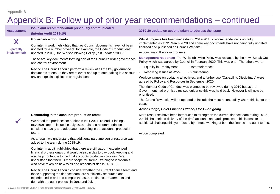|                                 |                                                                                                                                                                                                                                                                                                                                                                   | Appendix B: Follow up of prior year recommendations - continued                                                                                                                                                                                             |  |
|---------------------------------|-------------------------------------------------------------------------------------------------------------------------------------------------------------------------------------------------------------------------------------------------------------------------------------------------------------------------------------------------------------------|-------------------------------------------------------------------------------------------------------------------------------------------------------------------------------------------------------------------------------------------------------------|--|
| <b>Assessment</b>               | Issue and recommendation previously communicated<br>(Interim Audit 2018-19)                                                                                                                                                                                                                                                                                       | 2019-20 update on actions taken to address the issue                                                                                                                                                                                                        |  |
| X<br>(partially<br>implemented) | <b>Governance documents:</b><br>Our interim work highlighted that key Council documents have not been<br>updated for a number of years, for example, the Code of Conduct (last<br>updated in 2010), the Whistle Blowing Policy (last updated 2006)                                                                                                                | Whilst progress has been made during 2019-20 this recommendation is not fully<br>implemented as at 31 March 2020 and some key documents have not being fully updated,<br>finalised and published on Council Website.<br>Actions are still work in progress. |  |
|                                 | These are key documents forming part of the Council's wider governance<br>and control environment.                                                                                                                                                                                                                                                                | Management response: The Whistleblowing Policy was replaced by the new Speak Out<br>Policy which was agreed by Council in February 2020. This was one. The others were:                                                                                     |  |
|                                 | Rec 5: The Council should perform a review of all the key governance                                                                                                                                                                                                                                                                                              | <b>Equality in Employment</b><br>- #zerotolerance                                                                                                                                                                                                           |  |
|                                 | documents to ensure they are relevant and up to date, taking into account                                                                                                                                                                                                                                                                                         | Resolving Issues at Work<br>- Volunteering                                                                                                                                                                                                                  |  |
|                                 | any changes in legislation or regulations.                                                                                                                                                                                                                                                                                                                        | Work continues on updating all policies, and a further two (Capability; Disciplinary) were<br>agreed by Policy and Resources in September 2020.                                                                                                             |  |
|                                 |                                                                                                                                                                                                                                                                                                                                                                   | The Member Code of Conduct was planned to be reviewed during 2019 but as the<br>Government had promised revised guidance this was held back. However it will now be<br>prioritised.                                                                         |  |
|                                 |                                                                                                                                                                                                                                                                                                                                                                   | The Council's website will be updated to include the most recent policy where this is not the<br>case.                                                                                                                                                      |  |
|                                 |                                                                                                                                                                                                                                                                                                                                                                   | Anton Hodge, Chief Finance Officer (s151) - on going                                                                                                                                                                                                        |  |
|                                 | Resourcing in the accounts production team:                                                                                                                                                                                                                                                                                                                       | More resources have been introduced to strengthen the current finance team during 2019-                                                                                                                                                                     |  |
|                                 | We noted the predecessor auditor in their 2017-18 Audit Findings<br>(ISA260) Report, issued in July 2018, raised a recommendation to<br>consider capacity and adequate resourcing in the accounts production                                                                                                                                                      | 20, this has helped delivery of the draft accounts and audit process. This is despite the<br>additional challenge this year posed by remote working of both the finance and audit teams.                                                                    |  |
|                                 | team.                                                                                                                                                                                                                                                                                                                                                             | Action completed.                                                                                                                                                                                                                                           |  |
|                                 | As a result, we understand that additional part time senior resource was<br>added to the team during 2018-19.                                                                                                                                                                                                                                                     |                                                                                                                                                                                                                                                             |  |
|                                 | Our interim audit highlighted that there are still gaps in experienced<br>financial professionals that would assist in day to day book keeping and<br>also help contribute to the final accounts production process. We<br>understand that there is more scope for formal training to individuals<br>who have taken on new roles and responsibilities in 2018-19. |                                                                                                                                                                                                                                                             |  |
|                                 | Rec 6: The Council should consider whether the current finance team and<br>those supporting the finance team, are sufficiently resourced and<br>experienced in order to compile the 2018-19 financial statements and<br>deal with the audit process in June and July.                                                                                             |                                                                                                                                                                                                                                                             |  |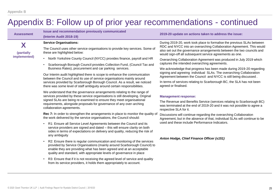### Appendix B: Follow up of prior year recommendations - continued

| <b>Service Organisations:</b><br>The Council uses other service organisations to provide key services. Some of<br>these are highlighted below:<br>• North Yorkshire County Council (NYCC) provides finance, payroll and HR<br>Scarborough Borough Council provides Collection Fund, (Council Tax and<br>Business Rates), procurement and car parking services. | During 2019-20, work took place to formalise the previous SLAs between<br>RDC and NYCC into an overarching Collaboration Agreement. This would<br>also set out the governance arrangements between the two councils and<br>would sign-off all subsequent service agreements as one.<br>Overarching Collaboration Agreement was produced in July 2019 which<br>captures the intended overarching agreements.<br>We acknowledge that progress has been made during 2019-20 regarding |  |
|----------------------------------------------------------------------------------------------------------------------------------------------------------------------------------------------------------------------------------------------------------------------------------------------------------------------------------------------------------------|------------------------------------------------------------------------------------------------------------------------------------------------------------------------------------------------------------------------------------------------------------------------------------------------------------------------------------------------------------------------------------------------------------------------------------------------------------------------------------|--|
|                                                                                                                                                                                                                                                                                                                                                                |                                                                                                                                                                                                                                                                                                                                                                                                                                                                                    |  |
|                                                                                                                                                                                                                                                                                                                                                                |                                                                                                                                                                                                                                                                                                                                                                                                                                                                                    |  |
|                                                                                                                                                                                                                                                                                                                                                                |                                                                                                                                                                                                                                                                                                                                                                                                                                                                                    |  |
|                                                                                                                                                                                                                                                                                                                                                                |                                                                                                                                                                                                                                                                                                                                                                                                                                                                                    |  |
| Our Interim audit highlighted there is scope to enhance the communication<br>between the Council and its use of service organisations mainly around<br>services provided by Scarborough Borough Council. As a result, we noticed                                                                                                                               | signing and agreeing individual SLAs. The overarching Collaboration<br>Agreement between the Council and NYCC is still being discussed.<br>In terms of services relating to Scarborough BC, the SLA has not been<br>agreed or finalised.                                                                                                                                                                                                                                           |  |
| We understand that the governance arrangements relating to the range of<br>services provided by these service organisations is still developing. Original                                                                                                                                                                                                      | <b>Management response:</b>                                                                                                                                                                                                                                                                                                                                                                                                                                                        |  |
| requirements, alongside proposals for governance of any over-arching<br>collaboration agreements.                                                                                                                                                                                                                                                              | The Revenue and Benefits Service (services relating to Scarborough BC)<br>was terminated at the end of 2019-20 and it was not possible to agree a<br>respective SLA for it.                                                                                                                                                                                                                                                                                                        |  |
| Rec 7: In order to strengthen the arrangements in place to monitor the quality of<br>the work delivered by the service organisations, the Council should:                                                                                                                                                                                                      | Discussions will continue regarding the overarching Collaboration<br>Agreement, but in the absence of that, individual SLAs will continue to be                                                                                                                                                                                                                                                                                                                                    |  |
| R1: Ensure all Service Level Agreements between the Council and its<br>service providers are signed and dated - this will ensure clarity on both<br>sides in terms of expectations on delivery and quality, reducing the risk of<br>any ambiguity                                                                                                              | used and these include Performance Indicators.<br>Anton Hodge, Chief Finance Officer (s151)                                                                                                                                                                                                                                                                                                                                                                                        |  |
| R2: Ensure there is regular communication and monitoring of the services<br>provided by Service Organisations (mainly around Scarborough Council) to<br>enable they are providing what has been agreed and at an acceptable<br>quality and standard, with appropriate levels of governance in place                                                            |                                                                                                                                                                                                                                                                                                                                                                                                                                                                                    |  |
| R3: Ensure that if it is not receiving the agreed level of service and quality<br>from its service providers, it holds them appropriately to account.                                                                                                                                                                                                          |                                                                                                                                                                                                                                                                                                                                                                                                                                                                                    |  |
|                                                                                                                                                                                                                                                                                                                                                                | there was some level of staff ambiguity around certain responsibilities.<br>signed SLAs are being re-examined to ensure they meet organisational                                                                                                                                                                                                                                                                                                                                   |  |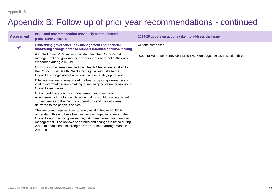### Appendix B: Follow up of prior year recommendations - continued

| <b>Assessment</b> | Issue and recommendation previously communicated<br><b>(Final Audit 2018-19)</b>                                                                                                                                                                                                                                                                 | 2019-20 update on actions taken to address the issue                     |
|-------------------|--------------------------------------------------------------------------------------------------------------------------------------------------------------------------------------------------------------------------------------------------------------------------------------------------------------------------------------------------|--------------------------------------------------------------------------|
|                   | Embedding governance, risk management and financial<br>monitoring arrangements to support informed decision making                                                                                                                                                                                                                               | Actions completed.                                                       |
|                   | As noted in our VFM section, we identified that Council's risk<br>management and governance arrangements were not sufficiently<br>embedded during 2018-19.                                                                                                                                                                                       | See our Value for Money conclusion work on pages 16-18 in section three. |
|                   | Our work in this area identified the 'Health Checks' undertaken by<br>the Council. The Health Checks highlighted key risks to the<br>Council's strategic objectives as well as day to day operations.                                                                                                                                            |                                                                          |
|                   | Effective risk management is at the heart of good governance and<br>vital to informed decision making to secure good value for money of<br>Council's resources.                                                                                                                                                                                  |                                                                          |
|                   | Not embedding sound risk management and monitoring<br>arrangements for informed decision making could have significant<br>consequences to the Council's operations and the outcomes<br>delivered to the people it serves.                                                                                                                        |                                                                          |
|                   | The senior management team, newly established in 2018-19,<br>understand this and have been actively engaged in reviewing the<br>Council's approach to governance, risk management and financial<br>management. The reviews performed and changes initiated during<br>2018-19 should help to strengthen the Council's arrangements in<br>2019-20. |                                                                          |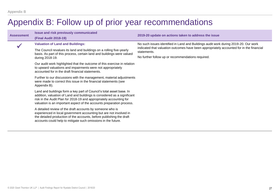### Appendix B: Follow up of prior year recommendations

| <b>Assessment</b>                                                                                                                                        | <b>Issue and risk previously communicated</b><br><b>(Final Audit 2018-19)</b>                                                                                                                                                                                                                    | 2019-20 update on actions taken to address the issue                                                                                                                                                                                                |
|----------------------------------------------------------------------------------------------------------------------------------------------------------|--------------------------------------------------------------------------------------------------------------------------------------------------------------------------------------------------------------------------------------------------------------------------------------------------|-----------------------------------------------------------------------------------------------------------------------------------------------------------------------------------------------------------------------------------------------------|
|                                                                                                                                                          | <b>Valuation of Land and Buildings:</b><br>The Council revalues its land and buildings on a rolling five-yearly<br>basis. As part of this process, certain land and buildings were valued<br>during 2018-19.                                                                                     | No such issues identified in Land and Buildings audit work during 2019-20. Our work<br>indicated that valuation outcomes have been appropriately accounted for in the financial<br>statements.<br>No further follow up or recommendations required. |
|                                                                                                                                                          | Our audit work highlighted that the outcome of this exercise in relation<br>to upward valuations and impairments were not appropriately<br>accounted for in the draft financial statements.                                                                                                      |                                                                                                                                                                                                                                                     |
| Further to our discussions with the management, material adjustments<br>were made to correct this issue in the financial statements (see<br>Appendix B). |                                                                                                                                                                                                                                                                                                  |                                                                                                                                                                                                                                                     |
|                                                                                                                                                          | Land and buildings form a key part of Council's total asset base. In<br>addition, valuation of Land and buildings is considered as a significant<br>risk in the Audit Plan for 2018-19 and appropriately accounting for<br>valuation is an important aspect of the accounts preparation process. |                                                                                                                                                                                                                                                     |
|                                                                                                                                                          | A detailed review of the draft accounts by someone who is<br>experienced in local government accounting but are not involved in<br>the detailed production of the accounts, before publishing the draft<br>accounts could help to mitigate such omissions in the future.                         |                                                                                                                                                                                                                                                     |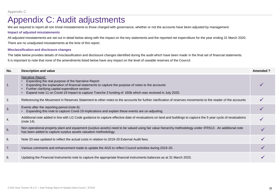### Appendix C: Audit adjustments

We are required to report all non trivial misstatements to those charged with governance, whether or not the accounts have been adjusted by management.

### **Impact of adjusted misstatements**

All adjusted misstatements are set out in detail below along with the impact on the key statements and the reported net expenditure for the year ending 31 March 2020.

There are no unadjusted misstatements at the time of this report.

### **Misclassification and disclosure changes**

The table below provides details of misclassification and disclosure changes identified during the audit which have been made in the final set of financial statements.

It is important to note that none of the amendments listed below have any impact on the level of useable reserves of the Council.

| No.            | Description and value                                                                                                                                                                                                                                                                                                                     | Amended ? |
|----------------|-------------------------------------------------------------------------------------------------------------------------------------------------------------------------------------------------------------------------------------------------------------------------------------------------------------------------------------------|-----------|
| $\mathbf{1}$ . | Narrative Report:<br>Expanding the real purpose of the Narrative Report<br>Expanding the explanation of financial statements to capture the purpose of notes to the accounts<br>Further clarifying capital expenditure section<br>Expand note 11 on Covid-19 impact to capture Tranche 3 funding of £83k which was received in July 2020. |           |
| 2.             | Referencing the Movement in Reserves Statement to other notes to the accounts for further clarification of reserves movements to the reader of the accounts                                                                                                                                                                               |           |
| 3.             | Events after the reporting period (note 6):<br>Expanding this note to capture Covid-19 implications and explain these events are un-adjusting.                                                                                                                                                                                            |           |
| 4.             | Additional note added in line with LG Code guidance to capture effective date of revaluations on land and buildings to capture the 5 year cycle of revaluations<br>(note 14).                                                                                                                                                             |           |
| 5.             | Non operational property plant and equipment (surplus assets) need to be valued using fair value hierarchy methodology under IFRS13. An additional note<br>has been added to capture surplus assets valuation methodology.                                                                                                                |           |
| 6.             | Note 33 was updated to reflect the actual costs in relation to 2019-20 External Audit fees.                                                                                                                                                                                                                                               |           |
| 7.             | Various comments and enhancement made to update the AGS to reflect Council activities during 2019-20.                                                                                                                                                                                                                                     |           |
| 8.             | Updating the Financial Instruments note to capture the appropriate financial instruments balances as at 31 March 2020.                                                                                                                                                                                                                    |           |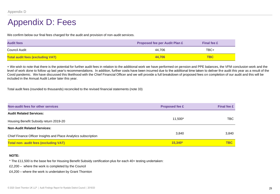### Appendix D: Fees

We confirm below our final fees charged for the audit and provision of non-audit services.

| <b>Audit fees</b>                       | <b>Proposed fee per Audit Plan £</b> | <b>Final fee £</b> |
|-----------------------------------------|--------------------------------------|--------------------|
| Council Audit                           | 44.706                               | TBC+               |
| <b>Total audit fees (excluding VAT)</b> | 44.706                               | <b>TBC</b>         |

+ We wish to note that there is the potential for further audit fees in relation to the additional work we have performed on pension and PPE balances, the VFM conclusion work and the level of work done to follow up last year's recommendations. In addition, further costs have been incurred due to the additional time taken to deliver the audit this year as a result of the Covid pandemic. We have discussed this likelihood with the Chief Financial Officer and we will provide a full breakdown of proposed fees on completion of our audit and this will be included in the Annual Audit Letter later this year.

Total audit fees (rounded to thousands) reconciled to the revised financial statements (note 33)

| Non-audit fees for other services                               | <b>Proposed fee £</b> | <b>Final fee £</b> |
|-----------------------------------------------------------------|-----------------------|--------------------|
| <b>Audit Related Services:</b>                                  |                       |                    |
| Housing Benefit Subsidy return 2019-20                          | 11,500*               | TBC.               |
| <b>Non-Audit Related Services:</b>                              |                       |                    |
| Chief Finance Officer Insights and Place Analytics subscription | 3.840                 | 3,840              |
| <b>Total non- audit fees (excluding VAT)</b>                    | $15.340*$             | <b>TBC</b>         |

#### **NOTE:**

\* The £11,500 is the base fee for Housing Benefit Subsidy certification plus for each 40+ testing undertaken:

£2,200 – where the work is completed by the Council

£4,200 – where the work is undertaken by Grant Thornton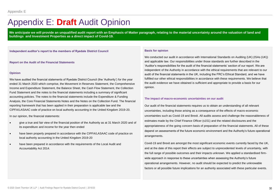### Appendix E: **Draft** Audit Opinion

We anticipate we will provide an unqualified audit report with an Emphasis of Matter paragraph, relating to the material uncertainty around the valuation of land and **buildings and Investment Properties as a direct impact of Covid-19.**

**Independent auditor's report to the members of Ryedale District Council** 

**Report on the Audit of the Financial Statements**

#### **Opinion**

We have audited the financial statements of Ryedale District Council (the 'Authority') for the year ended 31 March 2020 which comprise, the Movement in Reserves Statement, the Comprehensive Income and Expenditure Statement, the Balance Sheet, the Cash Flow Statement, the Collection Fund Statement and the notes to the financial statements including a summary of significant accounting policies. The notes to the financial statements include the Expenditure & Funding Analysis, the Core Financial Statements Notes and the Notes on the Collection Fund. The financial reporting framework that has been applied in their preparation is applicable law and the CIPFA/LASAAC code of practice on local authority accounting in the United Kingdom 2019-20.

In our opinion, the financial statements:

- give a true and fair view of the financial position of the Authority as at 31 March 2020 and of its expenditure and income for the year then ended
- have been properly prepared in accordance with the CIPFA/LASAAC code of practice on local authority accounting in the United Kingdom 2019-20
- have been prepared in accordance with the requirements of the Local Audit and Accountability Act 2014.

#### **Basis for opinion**

We conducted our audit in accordance with International Standards on Auditing (UK) (ISAs (UK)) and applicable law. Our responsibilities under those standards are further described in the 'Auditor's responsibilities for the audit of the financial statements' section of our report. We are independent of the Authority in accordance with the ethical requirements that are relevant to our audit of the financial statements in the UK, including the FRC's Ethical Standard, and we have fulfilled our other ethical responsibilities in accordance with these requirements. We believe that the audit evidence we have obtained is sufficient and appropriate to provide a basis for our opinion.

#### **The impact of macro-economic uncertainties on our audit**

Our audit of the financial statements requires us to obtain an understanding of all relevant uncertainties, including those arising as a consequence of the effects of macro-economic uncertainties such as Covid-19 and Brexit. All audits assess and challenge the reasonableness of estimates made by the Chief Finance Officer (s151) and the related disclosures and the appropriateness of the going concern basis of preparation of the financial statements. All of these depend on assessments of the future economic environment and the Authority's future operational arrangements.

Covid-19 and Brexit are amongst the most significant economic events currently faced by the UK, and at the date of this report their effects are subject to unprecedented levels of uncertainty, with the full range of possible outcomes and their impacts unknown. We applied a standardised firmwide approach in response to these uncertainties when assessing the Authority's future operational arrangements. However, no audit should be expected to predict the unknowable factors or all possible future implications for an authority associated with these particular events.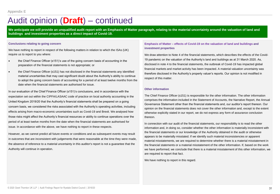### Audit opinion (**Draft**) – continued

We anticipate we will provide an unqualified audit report with an Emphasis of Matter paragraph, relating to the material uncertainty around the valuation of land and **buildings and investment properties as a direct impact of Covid-19.**

#### **Conclusions relating to going concern**

We have nothing to report in respect of the following matters in relation to which the ISAs (UK) require us to report to you where:

- the Chief Finance Officer (s151)'s use of the going concern basis of accounting in the preparation of the financial statements is not appropriate; or
- the Chief Finance Officer (s151) has not disclosed in the financial statements any identified material uncertainties that may cast significant doubt about the Authority's ability to continue to adopt the going concern basis of accounting for a period of at least twelve months from the date when the financial statements are authorised for issue.

In our evaluation of the Chief Finance Officer (s151)'s conclusions, and in accordance with the expectation set out within the CIPFA/LASAAC code of practice on local authority accounting in the United Kingdom 2019/20 that the Authority's financial statements shall be prepared on a going concern basis, we considered the risks associated with the Authority's operating activities, including effects arising from macro-economic uncertainties such as Covid-19 and Brexit. We analysed how those risks might affect the Authority's financial resources or ability to continue operations over the period of at least twelve months from the date when the financial statements are authorised for issue. In accordance with the above, we have nothing to report in these respects.

However, as we cannot predict all future events or conditions and as subsequent events may result in outcomes that are inconsistent with judgements that were reasonable at the time they were made, the absence of reference to a material uncertainty in this auditor's report is not a guarantee that the Authority will continue in operation.

### **Emphasis of Matter – effects of Covid-19 on the valuation of land and buildings and investment properties**

We draw attention to Note 4 of the financial statements, which describes the effects of the Covid-19 pandemic on the valuation of the Authority's land and buildings as at 31 March 2020. As, disclosed in note 4 to the financial statements, the outbreak of Covid-19 has impacted global financial markets and market activity has been impacted. A material valuation uncertainty was therefore disclosed in the Authority's property valuer's reports. Our opinion is not modified in respect of this matter.

#### **Other information**

The Chief Finance Officer (s151) is responsible for the other information. The other information comprises the information included in the Statement of Accounts, the Narrative Report, the Annual Governance Statement other than the financial statements and, our auditor's report thereon. Our opinion on the financial statements does not cover the other information and, except to the extent otherwise explicitly stated in our report, we do not express any form of assurance conclusion thereon.

In connection with our audit of the financial statements, our responsibility is to read the other information and, in doing so, consider whether the other information is materially inconsistent with the financial statements or our knowledge of the Authority obtained in the audit or otherwise appears to be materially misstated. If we identify such material inconsistencies or apparent material misstatements, we are required to determine whether there is a material misstatement in the financial statements or a material misstatement of the other information. If, based on the work we have performed, we conclude that there is a material misstatement of this other information, we are required to report that fact.

We have nothing to report in this regard.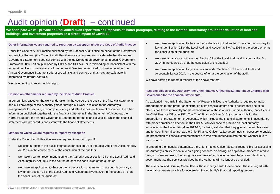### Audit opinion (**Draft**) – continued

We anticipate we will provide an unqualified audit report with an Emphasis of Matter paragraph, relating to the material uncertainty around the valuation of land and **buildings and investment properties as a direct impact of Covid-19.**

#### **Other information we are required to report on by exception under the Code of Audit Practice**

Under the Code of Audit Practice published by the National Audit Office on behalf of the Comptroller and Auditor General (the Code of Audit Practice) we are required to consider whether the Annual Governance Statement does not comply with the 'delivering good governance in Local Government Framework 2016 Edition' published by CIPFA and SOLACE or is misleading or inconsistent with the information of which we are aware from our audit. We are not required to consider whether the Annual Governance Statement addresses all risks and controls or that risks are satisfactorily addressed by internal controls.

We have nothing to report in this regard.

#### **Opinion on other matter required by the Code of Audit Practice**

In our opinion, based on the work undertaken in the course of the audit of the financial statements and our knowledge of the Authority gained through our work in relation to the Authority's arrangements for securing economy, efficiency and effectiveness in its use of resources, the other information published together with the financial statements in the Statement of Accounts, the Narrative Report, the Annual Governance Statement for the financial year for which the financial statements are prepared is consistent with the financial statements.

#### **Matters on which we are required to report by exception**

Under the Code of Audit Practice, we are required to report to you if:

- we issue a report in the public interest under section 24 of the Local Audit and Accountability Act 2014 in the course of, or at the conclusion of the audit; or
- we make a written recommendation to the Authority under section 24 of the Local Audit and Accountability Act 2014 in the course of, or at the conclusion of the audit; or
- we make an application to the court for a declaration that an item of account is contrary to law under Section 28 of the Local Audit and Accountability Act 2014 in the course of, or at the conclusion of the audit; or;
- we make an application to the court for a declaration that an item of account is contrary to law under Section 28 of the Local Audit and Accountability Act 2014 in the course of, or at the conclusion of the audit; or;
- we issue an advisory notice under Section 29 of the Local Audit and Accountability Act 2014 in the course of, or at the conclusion of the audit; or
- we make an application for judicial review under Section 31 of the Local Audit and Accountability Act 2014, in the course of, or at the conclusion of the audit.

We have nothing to report in respect of the above matters**.**

### **Responsibilities of the Authority, the Chief Finance Officer (s151) and Those Charged with Governance for the financial statements**

As explained more fully in the Statement of Responsibilities, the Authority is required to make arrangements for the proper administration of its financial affairs and to secure that one of its officers has the responsibility for the administration of those affairs. In this authority, that officer is the Chief Finance Officer (s151). The Chief Finance Officer (s151) is responsible for the preparation of the Statement of Accounts, which includes the financial statements, in accordance with proper practices as set out in the CIPFA/LASAAC code of practice on local authority accounting in the United Kingdom 2019-20, for being satisfied that they give a true and fair view, and for such internal control as the Chief Finance Officer (s151) determines is necessary to enable the preparation of financial statements that are free from material misstatement, whether due to fraud or error.

In preparing the financial statements, the Chief Finance Officer (s151) is responsible for assessing the Authority's ability to continue as a going concern, disclosing, as applicable, matters related to going concern and using the going concern basis of accounting unless there is an intention by government that the services provided by the Authority will no longer be provided.

The Overview and Scrutiny Committee is Those Charged with Governance. Those charged with governance are responsible for overseeing the Authority's financial reporting process.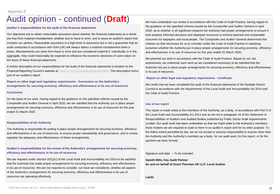### Audit opinion - continued (**Draft**)

#### **Auditor's responsibilities for the audit of the financial statements**

Our objectives are to obtain reasonable assurance about whether the financial statements as a whole are free from material misstatement, whether due to fraud or error, and to issue an auditor's report that includes our opinion. Reasonable assurance is a high level of assurance but is not a guarantee that an audit conducted in accordance with ISAs (UK) will always detect a material misstatement when it exists. Misstatements can arise from fraud or error and are considered material if, individually or in the aggregate, they could reasonably be expected to influence the economic decisions of users taken on the basis of these financial statements.

A further description of our responsibilities for the audit of the financial statements is located on the Financial Reporting Council's website at: [www.frc.org.uk/auditorsresponsibilities.](http://www.frc.org.uk/auditorsresponsibilities) This description forms part of our auditor's report.

**Report on other legal and regulatory requirements - Conclusion on the Authority's arrangements for securing economy, efficiency and effectiveness in its use of resources**

#### **Conclusion**

On the basis of our work, having regard to the guidance on the specified criterion issued by the Comptroller and Auditor General in April 2020, we are satisfied that the Authority put in place proper arrangements for securing economy, efficiency and effectiveness in its use of resources for the year ended 31 March 2020.

#### **Responsibilities of the Authority**

The Authority is responsible for putting in place proper arrangements for securing economy, efficiency and effectiveness in its use of resources, to ensure proper stewardship and governance, and to review regularly the adequacy and effectiveness of these arrangements.

### **Auditor's responsibilities for the review of the Authority's arrangements for securing economy, efficiency and effectiveness in its use of resources**

We are required under Section 20(1)(c) of the Local Audit and Accountability Act 2014 to be satisfied that the Authority has made proper arrangements for securing economy, efficiency and effectiveness in its use of resources. We are not required to consider, nor have we considered, whether all aspects of the Authority's arrangements for securing economy, efficiency and effectiveness in its use of resources are operating effectively.

We have undertaken our review in accordance with the Code of Audit Practice, having regard to the guidance on the specified criterion issued by the Comptroller and Auditor General in April 2020, as to whether in all significant respects the Authority had proper arrangements to ensure it took properly informed decisions and deployed resources to achieve planned and sustainable outcomes for taxpayers and local people. The Comptroller and Auditor General determined this criterion as that necessary for us to consider under the Code of Audit Practice in satisfying ourselves whether the Authority put in place proper arrangements for securing economy, efficiency and effectiveness in its use of resources for the year ended 31 March 2020.

We planned our work in accordance with the Code of Audit Practice. Based on our risk assessment, we undertook such work as we considered necessary to be satisfied that the Authority has put in place proper arrangements for securing economy, efficiency and effectiveness in its use of resources.

#### **Report on other legal and regulatory requirements - Certificate**

We certify that we have completed the audit of the financial statements of the Ryedale District Council in accordance with the requirements of the Local Audit and Accountability Act 2014 and the Code of Audit Practice.

#### **Use of our report**

This report is made solely to the members of the Authority, as a body, in accordance with Part 5 of the Local Audit and Accountability Act 2014 and as set out in paragraph 43 of the Statement of Responsibilities of Auditors and Audited Bodies published by Public Sector Audit Appointments Limited. Our audit work has been undertaken so that we might state to the Authority's members those matters we are required to state to them in an auditor's report and for no other purpose. To the fullest extent permitted by law, we do not accept or assume responsibility to anyone other than the Authority and the Authority's members as a body, for our audit work, for this report, or for the opinions we have formed.

Signature and date – *To be included*

**Gareth Mills, Key Audit Partner for and on behalf of Grant Thornton UK LLP, Local Auditor**

**Leeds**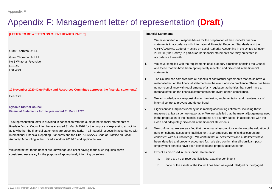### Appendix F: Management letter of representation (**Draft**)

### **[LETTER TO BE WRITTEN ON CLIENT HEADED PAPER]**

Grant Thornton UK LLP

Grant Thornton UK LLP No 1 Whitehall Riverside LEEDS LS1 4BN

**12 November 2020 (Date Policy and Resources Committee approves the financial statements)** Dear Sirs

**Ryedale District Council Financial Statements for the year ended 31 March 2020**

This representation letter is provided in connection with the audit of the financial statements of Ryedale District Council for the year ended 31 March 2020 for the purpose of expressing an opinion as to whether the financial statements are presented fairly, in all material respects in accordance with International Financial Reporting Standards and the CIPFA/LASAAC Code of Practice on Local Authority Accounting in the United Kingdom 2019/20 and applicable law.

We confirm that to the best of our knowledge and belief having made such inquiries as we considered necessary for the purpose of appropriately informing ourselves:

#### **Financial Statements**

- i. We have fulfilled our responsibilities for the preparation of the Council's financial statements in accordance with International Financial Reporting Standards and the CIPFA/LASAAC Code of Practice on Local Authority Accounting in the United Kingdom 2019/20 ("the Code"); in particular the financial statements are fairly presented in accordance therewith.
- ii. We have complied with the requirements of all statutory directions affecting the Council and these matters have been appropriately reflected and disclosed in the financial statements.
- iii. The Council has complied with all aspects of contractual agreements that could have a material effect on the financial statements in the event of non-compliance. There has been no non-compliance with requirements of any regulatory authorities that could have a material effect on the financial statements in the event of non-compliance.
- iv. We acknowledge our responsibility for the design, implementation and maintenance of internal control to prevent and detect fraud.
- v. Significant assumptions used by us in making accounting estimates, including those measured at fair value, are reasonable. We are satisfied that the material judgements used in the preparation of the financial statements are soundly based, in accordance with the Code and adequately disclosed in the financial statements.
- vi. We confirm that we are satisfied that the actuarial assumptions underlying the valuation of pension scheme assets and liabilities for IAS19 Employee Benefits disclosures are consistent with our knowledge. We confirm that all settlements and curtailments have been identified and properly accounted for. We also confirm that all significant postemployment benefits have been identified and properly accounted for.
- vii. Except as disclosed in the financial statements:
	- a. there are no unrecorded liabilities, actual or contingent
	- b. none of the assets of the Council has been assigned, pledged or mortgaged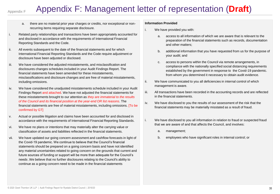### Appendix F

## Appendix F: Management letter of representation (**Draft**)

- a. there are no material prior year charges or credits, nor exceptional or nonrecurring items requiring separate disclosure.
- i. Related party relationships and transactions have been appropriately accounted for and disclosed in accordance with the requirements of International Financial Reporting Standards and the Code.
- ii. All events subsequent to the date of the financial statements and for which International Financial Reporting Standards and the Code require adjustment or disclosure have been adjusted or disclosed.
- iii. We have considered the adjusted misstatements, and misclassification and disclosures changes schedules included in your Audit Findings Report. The financial statements have been amended for these misstatements, misclassifications and disclosure changes and are free of material misstatements, including omissions.
- iv. We have considered the unadjusted misstatements schedule included in your Audit Findings Report and attached. We have not adjusted the financial statements for these misstatements brought to our attention as *they are immaterial to the results of the Council and its financial position at the year-end OR list reasons*. The financial statements are free of material misstatements, including omissions. [To be confirmed by GT]
- v. Actual or possible litigation and claims have been accounted for and disclosed in accordance with the requirements of International Financial Reporting Standards.
- vi. We have no plans or intentions that may materially alter the carrying value or classification of assets and liabilities reflected in the financial statements.
- vii. We have updated our going concern assessment and cashflow forecasts in light of the Covid-19 pandemic. We continue to believe that the Council's financial statements should be prepared on a going concern basis and have not identified any material uncertainties related to going concern on the grounds that current and future sources of funding or support will be more than adequate for the Council's needs .We believe that no further disclosures relating to the Council's ability to continue as a going concern need to be made in the financial statements

### **Information Provided**

- i. We have provided you with:
	- a. access to all information of which we are aware that is relevant to the preparation of the financial statements such as records, documentation and other matters;
	- b. additional information that you have requested from us for the purpose of your audit; and
	- c. access to persons within the Council via remote arrangements, in compliance with the nationally specified social distancing requirements established by the government in response to the Covid-19 pandemic. from whom you determined it necessary to obtain audit evidence.
- ii. We have communicated to you all deficiencies in internal control of which management is aware.
- iii. All transactions have been recorded in the accounting records and are reflected in the financial statements.
- iv. We have disclosed to you the results of our assessment of the risk that the financial statements may be materially misstated as a result of fraud.
- i. We have disclosed to you all information in relation to fraud or suspected fraud that we are aware of and that affects the Council, and involves:
	- a. management;
	- b. employees who have significant roles in internal control; or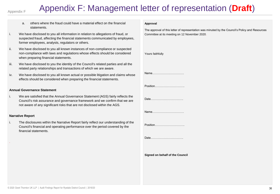### Appendix F

## Appendix F: Management letter of representation (**Draft**)

- a. others where the fraud could have a material effect on the financial statements.
- i. We have disclosed to you all information in relation to allegations of fraud, or suspected fraud, affecting the financial statements communicated by employees, former employees, analysts, regulators or others.
- ii. We have disclosed to you all known instances of non-compliance or suspected non-compliance with laws and regulations whose effects should be considered when preparing financial statements.
- iii. We have disclosed to you the identity of the Council's related parties and all the related party relationships and transactions of which we are aware.
- iv. We have disclosed to you all known actual or possible litigation and claims whose effects should be considered when preparing the financial statements.

### **Annual Governance Statement**

i. We are satisfied that the Annual Governance Statement (AGS) fairly reflects the Council's risk assurance and governance framework and we confirm that we are not aware of any significant risks that are not disclosed within the AGS.

#### **Narrative Report**

.

i. The disclosures within the Narrative Report fairly reflect our understanding of the Council's financial and operating performance over the period covered by the financial statements.

#### **Approval**

The approval of this letter of representation was minuted by the Council's Policy and Resources Committee at its meeting on 12 November 2020.

| Yours faithfully                |  |
|---------------------------------|--|
| Name                            |  |
| Position                        |  |
| Date                            |  |
| Name                            |  |
| Position                        |  |
| Date                            |  |
| Signed on behalf of the Council |  |